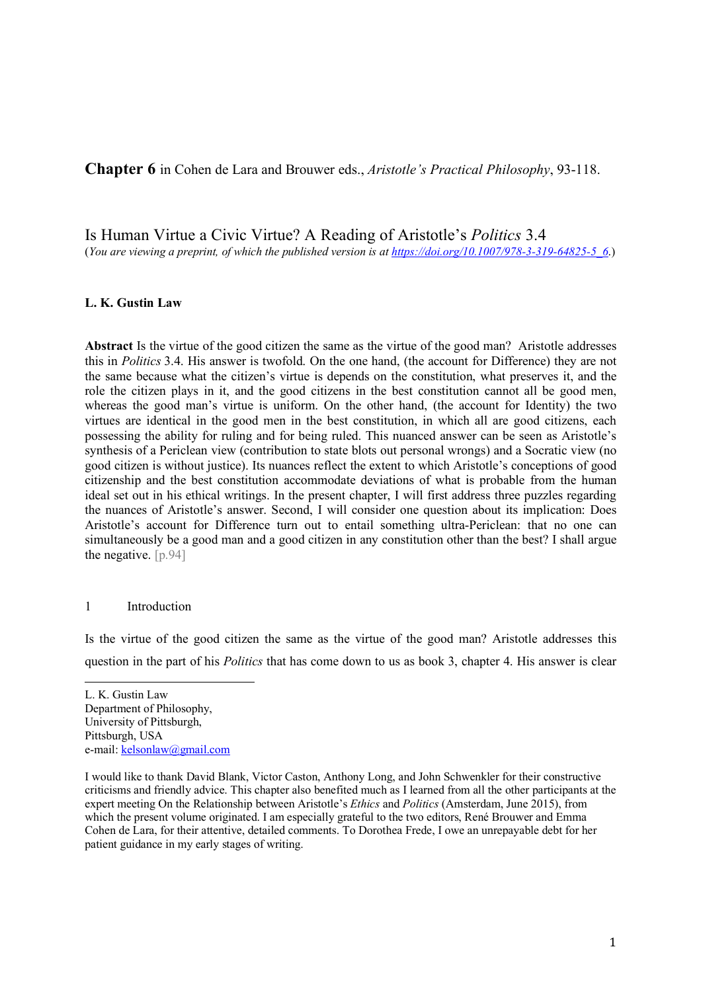**Chapter 6** in Cohen de Lara and Brouwer eds., *Aristotle's Practical Philosophy*, 93-118.

Is Human Virtue a Civic Virtue? A Reading of Aristotle's *Politics* 3.4 (*You are viewing a preprint, of which the published version is at https://doi.org/10.1007/978-3-319-64825-5\_6*.)

# **L. K. Gustin Law**

**Abstract** Is the virtue of the good citizen the same as the virtue of the good man? Aristotle addresses this in *Politics* 3.4. His answer is twofold. On the one hand, (the account for Difference) they are not the same because what the citizen's virtue is depends on the constitution, what preserves it, and the role the citizen plays in it, and the good citizens in the best constitution cannot all be good men, whereas the good man's virtue is uniform. On the other hand, (the account for Identity) the two virtues are identical in the good men in the best constitution, in which all are good citizens, each possessing the ability for ruling and for being ruled. This nuanced answer can be seen as Aristotle's synthesis of a Periclean view (contribution to state blots out personal wrongs) and a Socratic view (no good citizen is without justice). Its nuances reflect the extent to which Aristotle's conceptions of good citizenship and the best constitution accommodate deviations of what is probable from the human ideal set out in his ethical writings. In the present chapter, I will first address three puzzles regarding the nuances of Aristotle's answer. Second, I will consider one question about its implication: Does Aristotle's account for Difference turn out to entail something ultra-Periclean: that no one can simultaneously be a good man and a good citizen in any constitution other than the best? I shall argue the negative. [p.94]

# 1 Introduction

Is the virtue of the good citizen the same as the virtue of the good man? Aristotle addresses this question in the part of his *Politics* that has come down to us as book 3, chapter 4. His answer is clear

L. K. Gustin Law Department of Philosophy, University of Pittsburgh, Pittsburgh, USA e-mail: kelsonlaw@gmail.com

I would like to thank David Blank, Victor Caston, Anthony Long, and John Schwenkler for their constructive criticisms and friendly advice. This chapter also benefited much as I learned from all the other participants at the expert meeting On the Relationship between Aristotle's *Ethics* and *Politics* (Amsterdam, June 2015), from which the present volume originated. I am especially grateful to the two editors, René Brouwer and Emma Cohen de Lara, for their attentive, detailed comments. To Dorothea Frede, I owe an unrepayable debt for her patient guidance in my early stages of writing.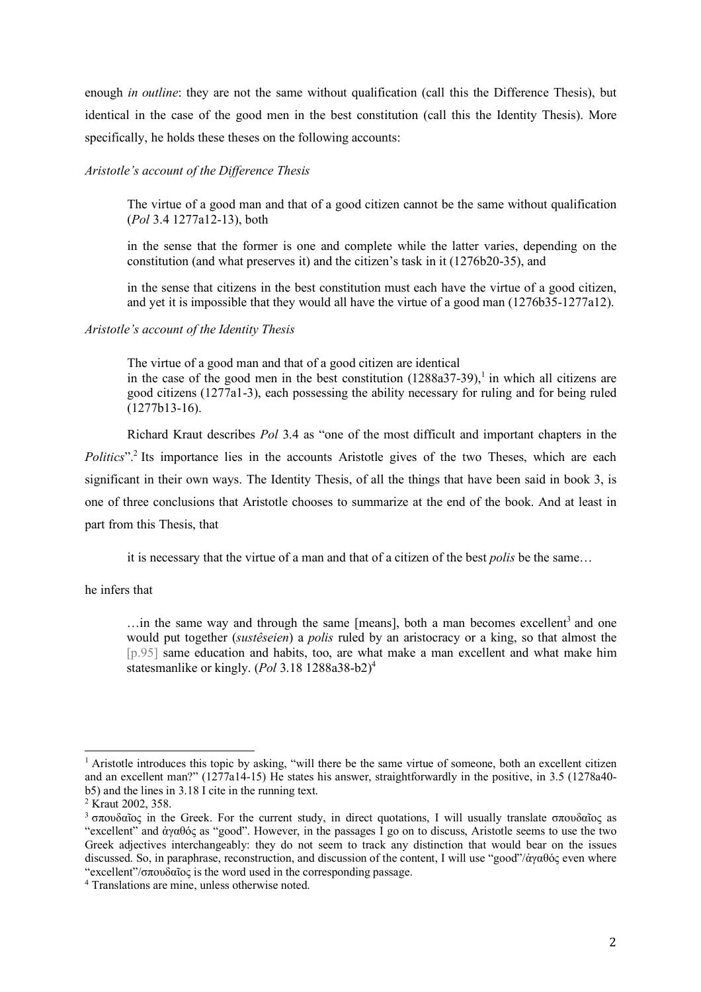enough *in outline*: they are not the same without qualification (call this the Difference Thesis), but identical in the case of the good men in the best constitution (call this the Identity Thesis). More specifically, he holds these theses on the following accounts:

#### *Aristotle's account of the Difference Thesis*

The virtue of a good man and that of a good citizen cannot be the same without qualification (*Pol* 3.4 1277a12-13), both

in the sense that the former is one and complete while the latter varies, depending on the constitution (and what preserves it) and the citizen's task in it (1276b20-35), and

in the sense that citizens in the best constitution must each have the virtue of a good citizen, and yet it is impossible that they would all have the virtue of a good man (1276b35-1277a12).

## *Aristotle's account of the Identity Thesis*

The virtue of a good man and that of a good citizen are identical in the case of the good men in the best constitution  $(1288a37-39)$ ,<sup>1</sup> in which all citizens are good citizens (1277a1-3), each possessing the ability necessary for ruling and for being ruled (1277b13-16).

Richard Kraut describes *Pol* 3.4 as "one of the most difficult and important chapters in the Politics".<sup>2</sup> Its importance lies in the accounts Aristotle gives of the two Theses, which are each significant in their own ways. The Identity Thesis, of all the things that have been said in book 3, is one of three conclusions that Aristotle chooses to summarize at the end of the book. And at least in part from this Thesis, that

it is necessary that the virtue of a man and that of a citizen of the best *polis* be the same…

he infers that

 $\ldots$  in the same way and through the same [means], both a man becomes excellent<sup>3</sup> and one would put together (*sustêseien*) a *polis* ruled by an aristocracy or a king, so that almost the [p.95] same education and habits, too, are what make a man excellent and what make him statesmanlike or kingly. (*Pol* 3.18 1288a38-b2)4

<sup>&</sup>lt;sup>1</sup> Aristotle introduces this topic by asking, "will there be the same virtue of someone, both an excellent citizen and an excellent man?" (1277a14-15) He states his answer, straightforwardly in the positive, in 3.5 (1278a40 b5) and the lines in 3.18 I cite in the running text.

<sup>2</sup> Kraut 2002, 358.

<sup>3</sup> σπουδαῖος in the Greek. For the current study, in direct quotations, I will usually translate σπουδαῖος as "excellent" and ἀγαθός as "good". However, in the passages I go on to discuss, Aristotle seems to use the two Greek adjectives interchangeably: they do not seem to track any distinction that would bear on the issues discussed. So, in paraphrase, reconstruction, and discussion of the content, I will use "good"/ἀγαθός even where "excellent"/σπουδαῖος is the word used in the corresponding passage.

<sup>4</sup> Translations are mine, unless otherwise noted.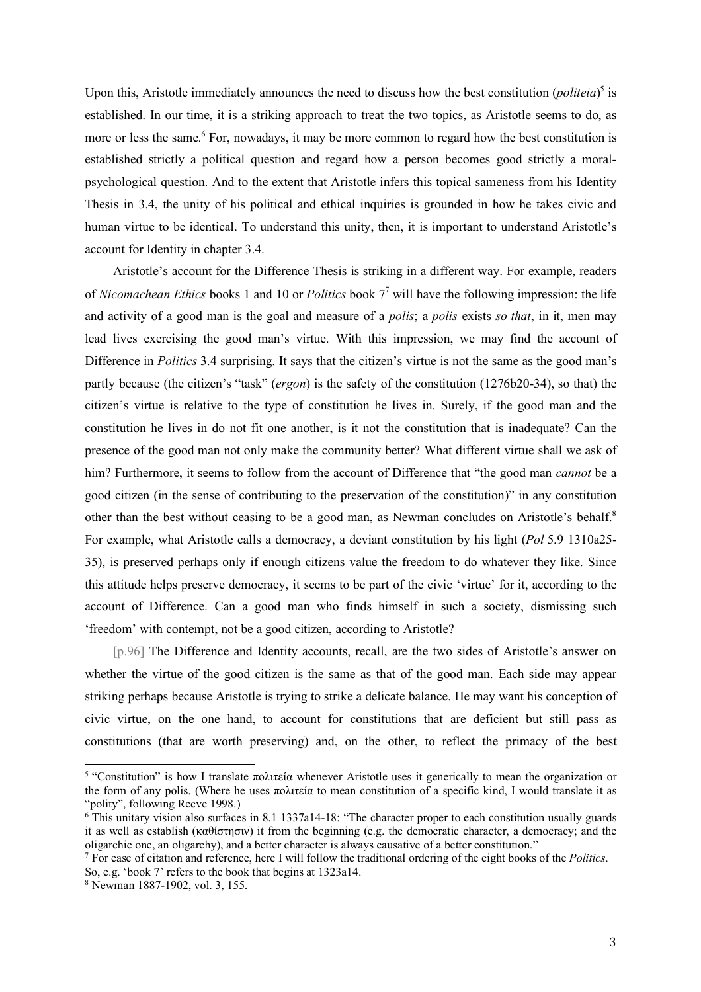Upon this, Aristotle immediately announces the need to discuss how the best constitution (*politeia*) <sup>5</sup> is established. In our time, it is a striking approach to treat the two topics, as Aristotle seems to do, as more or less the same.<sup>6</sup> For, nowadays, it may be more common to regard how the best constitution is established strictly a political question and regard how a person becomes good strictly a moralpsychological question. And to the extent that Aristotle infers this topical sameness from his Identity Thesis in 3.4, the unity of his political and ethical inquiries is grounded in how he takes civic and human virtue to be identical. To understand this unity, then, it is important to understand Aristotle's account for Identity in chapter 3.4.

Aristotle's account for the Difference Thesis is striking in a different way. For example, readers of *Nicomachean Ethics* books 1 and 10 or *Politics* book 77 will have the following impression: the life and activity of a good man is the goal and measure of a *polis*; a *polis* exists *so that*, in it, men may lead lives exercising the good man's virtue. With this impression, we may find the account of Difference in *Politics* 3.4 surprising. It says that the citizen's virtue is not the same as the good man's partly because (the citizen's "task" (*ergon*) is the safety of the constitution (1276b20-34), so that) the citizen's virtue is relative to the type of constitution he lives in. Surely, if the good man and the constitution he lives in do not fit one another, is it not the constitution that is inadequate? Can the presence of the good man not only make the community better? What different virtue shall we ask of him? Furthermore, it seems to follow from the account of Difference that "the good man *cannot* be a good citizen (in the sense of contributing to the preservation of the constitution)" in any constitution other than the best without ceasing to be a good man, as Newman concludes on Aristotle's behalf.<sup>8</sup> For example, what Aristotle calls a democracy, a deviant constitution by his light (*Pol* 5.9 1310a25- 35), is preserved perhaps only if enough citizens value the freedom to do whatever they like. Since this attitude helps preserve democracy, it seems to be part of the civic 'virtue' for it, according to the account of Difference. Can a good man who finds himself in such a society, dismissing such 'freedom' with contempt, not be a good citizen, according to Aristotle?

[p.96] The Difference and Identity accounts, recall, are the two sides of Aristotle's answer on whether the virtue of the good citizen is the same as that of the good man. Each side may appear striking perhaps because Aristotle is trying to strike a delicate balance. He may want his conception of civic virtue, on the one hand, to account for constitutions that are deficient but still pass as constitutions (that are worth preserving) and, on the other, to reflect the primacy of the best

<sup>5</sup> "Constitution" is how I translate πολιτεία whenever Aristotle uses it generically to mean the organization or the form of any polis. (Where he uses πολιτεία to mean constitution of a specific kind, I would translate it as "polity", following Reeve 1998.)

 $6$  This unitary vision also surfaces in 8.1 1337a14-18: "The character proper to each constitution usually guards it as well as establish (καθίστησιν) it from the beginning (e.g. the democratic character, a democracy; and the oligarchic one, an oligarchy), and a better character is always causative of a better constitution."

<sup>7</sup> For ease of citation and reference, here I will follow the traditional ordering of the eight books of the *Politics*. So, e.g. 'book 7' refers to the book that begins at 1323a14.

<sup>8</sup> Newman 1887-1902, vol. 3, 155.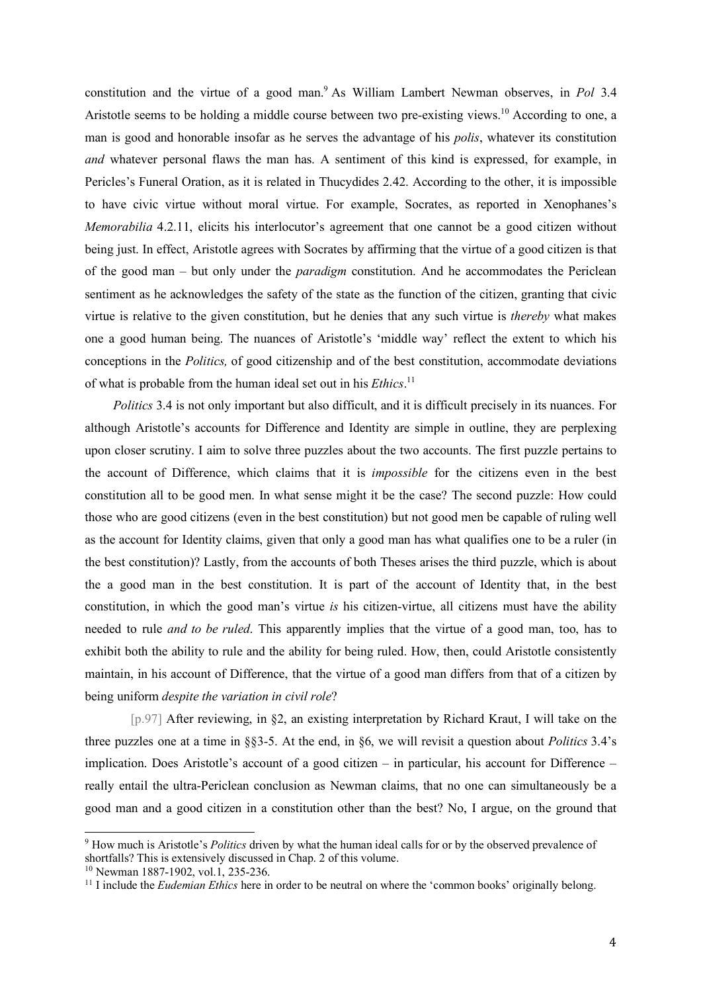constitution and the virtue of a good man. <sup>9</sup> As William Lambert Newman observes, in *Pol* 3.4 Aristotle seems to be holding a middle course between two pre-existing views.<sup>10</sup> According to one, a man is good and honorable insofar as he serves the advantage of his *polis*, whatever its constitution *and* whatever personal flaws the man has. A sentiment of this kind is expressed, for example, in Pericles's Funeral Oration, as it is related in Thucydides 2.42. According to the other, it is impossible to have civic virtue without moral virtue. For example, Socrates, as reported in Xenophanes's *Memorabilia* 4.2.11, elicits his interlocutor's agreement that one cannot be a good citizen without being just. In effect, Aristotle agrees with Socrates by affirming that the virtue of a good citizen is that of the good man – but only under the *paradigm* constitution. And he accommodates the Periclean sentiment as he acknowledges the safety of the state as the function of the citizen, granting that civic virtue is relative to the given constitution, but he denies that any such virtue is *thereby* what makes one a good human being. The nuances of Aristotle's 'middle way' reflect the extent to which his conceptions in the *Politics,* of good citizenship and of the best constitution, accommodate deviations of what is probable from the human ideal set out in his *Ethics*. 11

*Politics* 3.4 is not only important but also difficult, and it is difficult precisely in its nuances. For although Aristotle's accounts for Difference and Identity are simple in outline, they are perplexing upon closer scrutiny. I aim to solve three puzzles about the two accounts. The first puzzle pertains to the account of Difference, which claims that it is *impossible* for the citizens even in the best constitution all to be good men. In what sense might it be the case? The second puzzle: How could those who are good citizens (even in the best constitution) but not good men be capable of ruling well as the account for Identity claims, given that only a good man has what qualifies one to be a ruler (in the best constitution)? Lastly, from the accounts of both Theses arises the third puzzle, which is about the a good man in the best constitution. It is part of the account of Identity that, in the best constitution, in which the good man's virtue *is* his citizen-virtue, all citizens must have the ability needed to rule *and to be ruled*. This apparently implies that the virtue of a good man, too, has to exhibit both the ability to rule and the ability for being ruled. How, then, could Aristotle consistently maintain, in his account of Difference, that the virtue of a good man differs from that of a citizen by being uniform *despite the variation in civil role*?

[p.97] After reviewing, in §2, an existing interpretation by Richard Kraut, I will take on the three puzzles one at a time in §§3-5. At the end, in §6, we will revisit a question about *Politics* 3.4's implication. Does Aristotle's account of a good citizen – in particular, his account for Difference – really entail the ultra-Periclean conclusion as Newman claims, that no one can simultaneously be a good man and a good citizen in a constitution other than the best? No, I argue, on the ground that

<sup>9</sup> How much is Aristotle's *Politics* driven by what the human ideal calls for or by the observed prevalence of shortfalls? This is extensively discussed in Chap. 2 of this volume.

<sup>10</sup> Newman 1887-1902, vol.1, 235-236.

<sup>&</sup>lt;sup>11</sup> I include the *Eudemian Ethics* here in order to be neutral on where the 'common books' originally belong.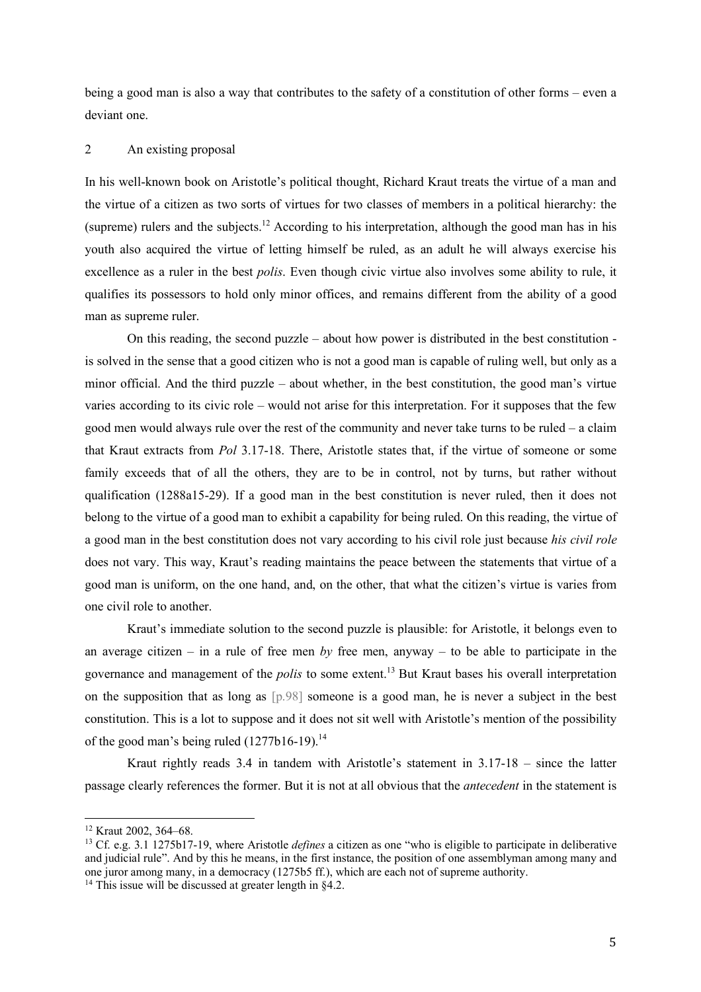being a good man is also a way that contributes to the safety of a constitution of other forms – even a deviant one.

## 2 An existing proposal

In his well-known book on Aristotle's political thought, Richard Kraut treats the virtue of a man and the virtue of a citizen as two sorts of virtues for two classes of members in a political hierarchy: the (supreme) rulers and the subjects.12 According to his interpretation, although the good man has in his youth also acquired the virtue of letting himself be ruled, as an adult he will always exercise his excellence as a ruler in the best *polis*. Even though civic virtue also involves some ability to rule, it qualifies its possessors to hold only minor offices, and remains different from the ability of a good man as supreme ruler.

On this reading, the second puzzle – about how power is distributed in the best constitution is solved in the sense that a good citizen who is not a good man is capable of ruling well, but only as a minor official. And the third puzzle – about whether, in the best constitution, the good man's virtue varies according to its civic role – would not arise for this interpretation. For it supposes that the few good men would always rule over the rest of the community and never take turns to be ruled – a claim that Kraut extracts from *Pol* 3.17-18. There, Aristotle states that, if the virtue of someone or some family exceeds that of all the others, they are to be in control, not by turns, but rather without qualification (1288a15-29). If a good man in the best constitution is never ruled, then it does not belong to the virtue of a good man to exhibit a capability for being ruled. On this reading, the virtue of a good man in the best constitution does not vary according to his civil role just because *his civil role* does not vary. This way, Kraut's reading maintains the peace between the statements that virtue of a good man is uniform, on the one hand, and, on the other, that what the citizen's virtue is varies from one civil role to another.

Kraut's immediate solution to the second puzzle is plausible: for Aristotle, it belongs even to an average citizen – in a rule of free men *by* free men, anyway – to be able to participate in the governance and management of the *polis* to some extent.13 But Kraut bases his overall interpretation on the supposition that as long as  $[p.98]$  someone is a good man, he is never a subject in the best constitution. This is a lot to suppose and it does not sit well with Aristotle's mention of the possibility of the good man's being ruled  $(1277b16-19).$ <sup>14</sup>

Kraut rightly reads 3.4 in tandem with Aristotle's statement in 3.17-18 – since the latter passage clearly references the former. But it is not at all obvious that the *antecedent* in the statement is

<sup>12</sup> Kraut 2002, 364–68.

<sup>13</sup> Cf. e.g. 3.1 1275b17-19, where Aristotle *defines* a citizen as one "who is eligible to participate in deliberative and judicial rule". And by this he means, in the first instance, the position of one assemblyman among many and one juror among many, in a democracy (1275b5 ff.), which are each not of supreme authority.

<sup>&</sup>lt;sup>14</sup> This issue will be discussed at greater length in §4.2.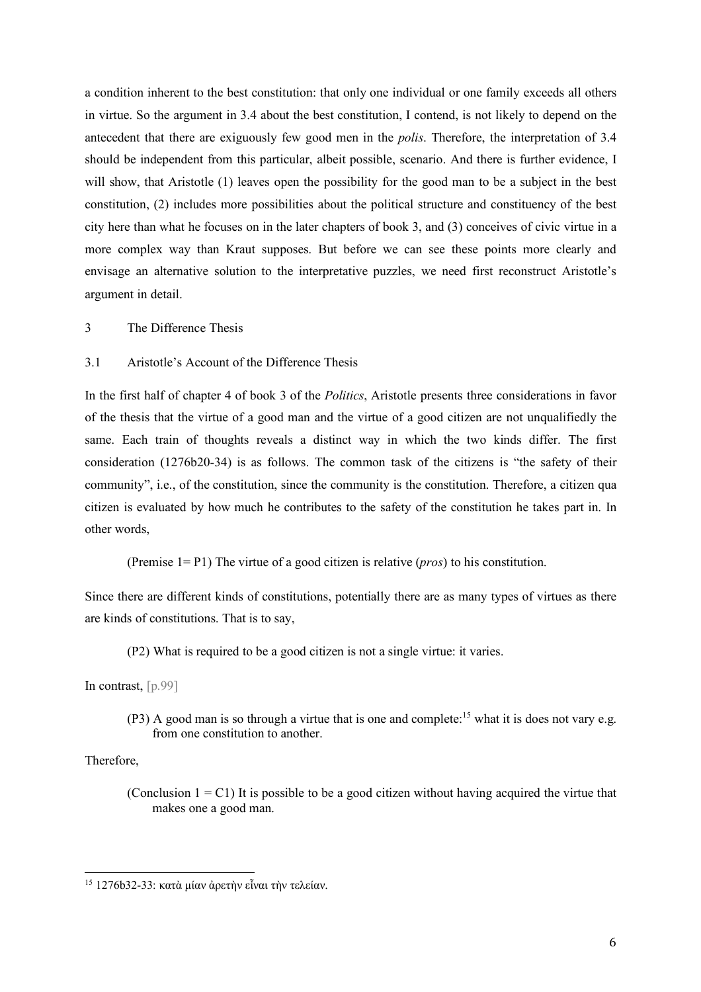a condition inherent to the best constitution: that only one individual or one family exceeds all others in virtue. So the argument in 3.4 about the best constitution, I contend, is not likely to depend on the antecedent that there are exiguously few good men in the *polis*. Therefore, the interpretation of 3.4 should be independent from this particular, albeit possible, scenario. And there is further evidence, I will show, that Aristotle (1) leaves open the possibility for the good man to be a subject in the best constitution, (2) includes more possibilities about the political structure and constituency of the best city here than what he focuses on in the later chapters of book 3, and (3) conceives of civic virtue in a more complex way than Kraut supposes. But before we can see these points more clearly and envisage an alternative solution to the interpretative puzzles, we need first reconstruct Aristotle's argument in detail.

3 The Difference Thesis

# 3.1 Aristotle's Account of the Difference Thesis

In the first half of chapter 4 of book 3 of the *Politics*, Aristotle presents three considerations in favor of the thesis that the virtue of a good man and the virtue of a good citizen are not unqualifiedly the same. Each train of thoughts reveals a distinct way in which the two kinds differ. The first consideration (1276b20-34) is as follows. The common task of the citizens is "the safety of their community", i.e., of the constitution, since the community is the constitution. Therefore, a citizen qua citizen is evaluated by how much he contributes to the safety of the constitution he takes part in. In other words,

(Premise 1= P1) The virtue of a good citizen is relative (*pros*) to his constitution.

Since there are different kinds of constitutions, potentially there are as many types of virtues as there are kinds of constitutions. That is to say,

(P2) What is required to be a good citizen is not a single virtue: it varies.

In contrast, [p.99]

(P3) A good man is so through a virtue that is one and complete: <sup>15</sup> what it is does not vary e.g. from one constitution to another.

Therefore,

(Conclusion  $1 = C1$ ) It is possible to be a good citizen without having acquired the virtue that makes one a good man.

<sup>15</sup> 1276b32-33: κατὰ µίαν ἀρετὴν εἶναι τὴν τελείαν.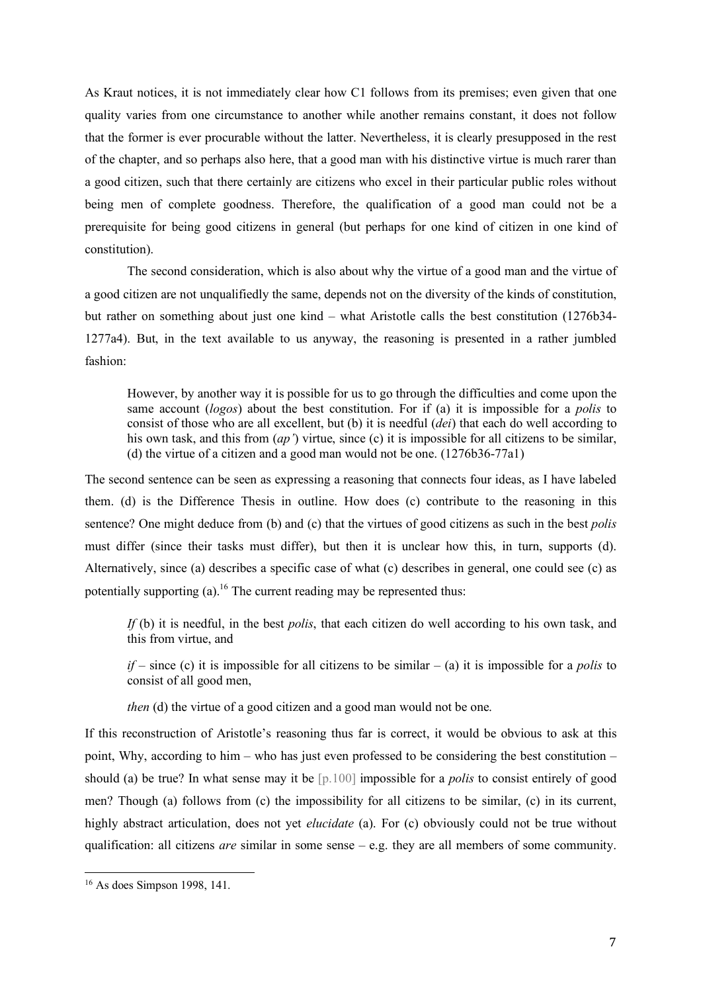As Kraut notices, it is not immediately clear how C1 follows from its premises; even given that one quality varies from one circumstance to another while another remains constant, it does not follow that the former is ever procurable without the latter. Nevertheless, it is clearly presupposed in the rest of the chapter, and so perhaps also here, that a good man with his distinctive virtue is much rarer than a good citizen, such that there certainly are citizens who excel in their particular public roles without being men of complete goodness. Therefore, the qualification of a good man could not be a prerequisite for being good citizens in general (but perhaps for one kind of citizen in one kind of constitution).

The second consideration, which is also about why the virtue of a good man and the virtue of a good citizen are not unqualifiedly the same, depends not on the diversity of the kinds of constitution, but rather on something about just one kind – what Aristotle calls the best constitution (1276b34- 1277a4). But, in the text available to us anyway, the reasoning is presented in a rather jumbled fashion:

However, by another way it is possible for us to go through the difficulties and come upon the same account (*logos*) about the best constitution. For if (a) it is impossible for a *polis* to consist of those who are all excellent, but (b) it is needful (*dei*) that each do well according to his own task, and this from (*ap'*) virtue, since (c) it is impossible for all citizens to be similar, (d) the virtue of a citizen and a good man would not be one. (1276b36-77a1)

The second sentence can be seen as expressing a reasoning that connects four ideas, as I have labeled them. (d) is the Difference Thesis in outline. How does (c) contribute to the reasoning in this sentence? One might deduce from (b) and (c) that the virtues of good citizens as such in the best *polis* must differ (since their tasks must differ), but then it is unclear how this, in turn, supports (d). Alternatively, since (a) describes a specific case of what (c) describes in general, one could see (c) as potentially supporting  $(a)$ <sup>16</sup>. The current reading may be represented thus:

*If* (b) it is needful, in the best *polis*, that each citizen do well according to his own task, and this from virtue, and

*if* – since (c) it is impossible for all citizens to be similar – (a) it is impossible for a *polis* to consist of all good men,

*then* (d) the virtue of a good citizen and a good man would not be one.

If this reconstruction of Aristotle's reasoning thus far is correct, it would be obvious to ask at this point, Why, according to him – who has just even professed to be considering the best constitution – should (a) be true? In what sense may it be [p.100] impossible for a *polis* to consist entirely of good men? Though (a) follows from (c) the impossibility for all citizens to be similar, (c) in its current, highly abstract articulation, does not yet *elucidate* (a). For (c) obviously could not be true without qualification: all citizens *are* similar in some sense – e.g. they are all members of some community.

<sup>16</sup> As does Simpson 1998, 141.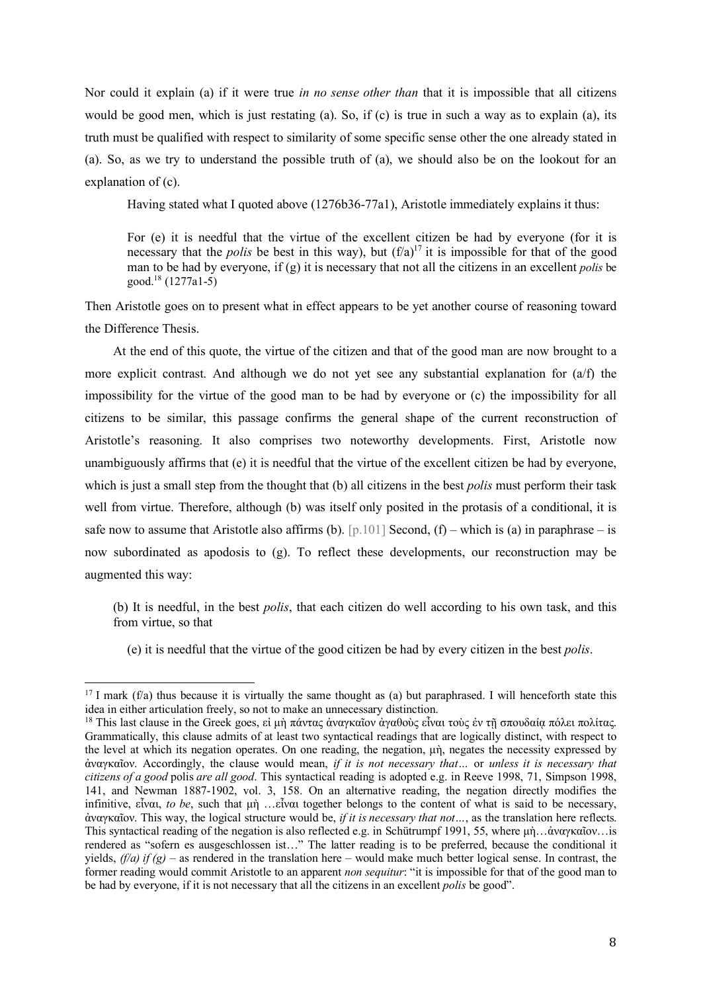Nor could it explain (a) if it were true *in no sense other than* that it is impossible that all citizens would be good men, which is just restating (a). So, if (c) is true in such a way as to explain (a), its truth must be qualified with respect to similarity of some specific sense other the one already stated in (a). So, as we try to understand the possible truth of (a), we should also be on the lookout for an explanation of (c).

Having stated what I quoted above (1276b36-77a1), Aristotle immediately explains it thus:

For (e) it is needful that the virtue of the excellent citizen be had by everyone (for it is necessary that the *polis* be best in this way), but  $(f/a)^{17}$  it is impossible for that of the good man to be had by everyone, if (g) it is necessary that not all the citizens in an excellent *polis* be good.<sup>18</sup> (1277a1-5)

Then Aristotle goes on to present what in effect appears to be yet another course of reasoning toward the Difference Thesis.

At the end of this quote, the virtue of the citizen and that of the good man are now brought to a more explicit contrast. And although we do not yet see any substantial explanation for  $(a/f)$  the impossibility for the virtue of the good man to be had by everyone or (c) the impossibility for all citizens to be similar, this passage confirms the general shape of the current reconstruction of Aristotle's reasoning. It also comprises two noteworthy developments. First, Aristotle now unambiguously affirms that (e) it is needful that the virtue of the excellent citizen be had by everyone, which is just a small step from the thought that (b) all citizens in the best *polis* must perform their task well from virtue. Therefore, although (b) was itself only posited in the protasis of a conditional, it is safe now to assume that Aristotle also affirms (b).  $[p.101]$  Second, (f) – which is (a) in paraphrase – is now subordinated as apodosis to (g). To reflect these developments, our reconstruction may be augmented this way:

(b) It is needful, in the best *polis*, that each citizen do well according to his own task, and this from virtue, so that

(e) it is needful that the virtue of the good citizen be had by every citizen in the best *polis*.

<sup>&</sup>lt;sup>17</sup> I mark (f/a) thus because it is virtually the same thought as (a) but paraphrased. I will henceforth state this idea in either articulation freely, so not to make an unnecessary distinction.

<sup>&</sup>lt;sup>18</sup> This last clause in the Greek goes, εἰ μὴ πάντας ἀναγκαῖον ἀγαθοὺς εἶναι τοὺς ἐν τῇ σπουδαία πόλει πολίτας. Grammatically, this clause admits of at least two syntactical readings that are logically distinct, with respect to the level at which its negation operates. On one reading, the negation, µὴ, negates the necessity expressed by ἀναγκαῖον. Accordingly, the clause would mean, *if it is not necessary that…* or *unless it is necessary that citizens of a good* polis *are all good*. This syntactical reading is adopted e.g. in Reeve 1998, 71, Simpson 1998, 141, and Newman 1887-1902, vol. 3, 158. On an alternative reading, the negation directly modifies the infinitive, εἶναι, *to be*, such that µὴ …εἶναι together belongs to the content of what is said to be necessary, ἀναγκαῖον. This way, the logical structure would be, *if it is necessary that not…*, as the translation here reflects. This syntactical reading of the negation is also reflected e.g. in Schütrumpf 1991, 55, where µὴ…ἀναγκαῖον…is rendered as "sofern es ausgeschlossen ist…" The latter reading is to be preferred, because the conditional it yields,  $(f/a)$  if  $(g)$  – as rendered in the translation here – would make much better logical sense. In contrast, the former reading would commit Aristotle to an apparent *non sequitur*: "it is impossible for that of the good man to be had by everyone, if it is not necessary that all the citizens in an excellent *polis* be good".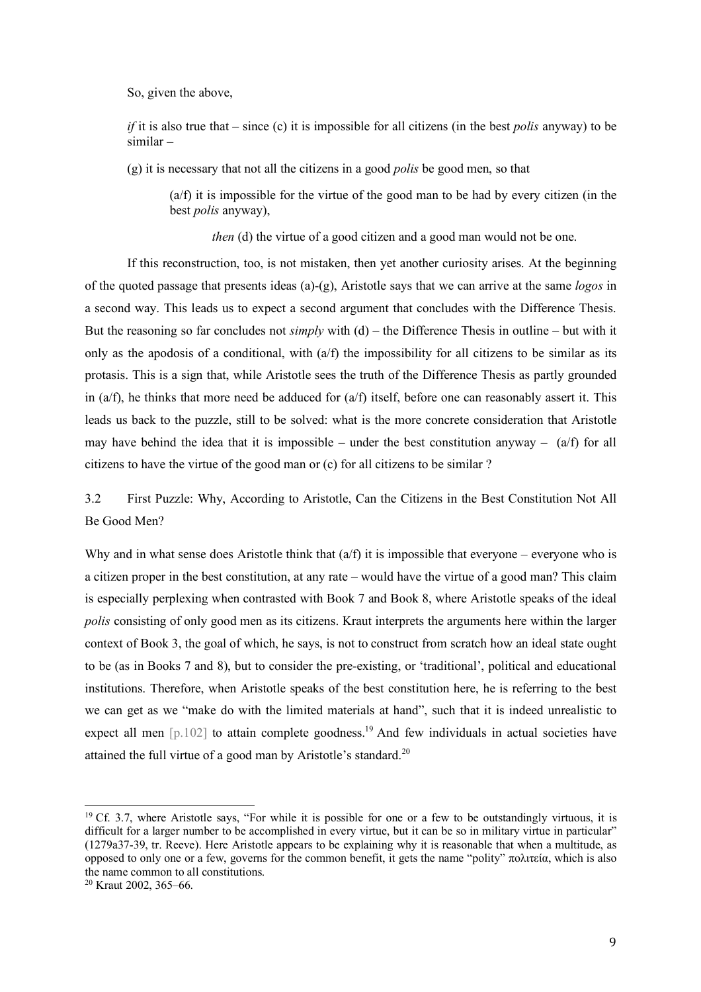So, given the above,

*if* it is also true that – since (c) it is impossible for all citizens (in the best *polis* anyway) to be similar –

(g) it is necessary that not all the citizens in a good *polis* be good men, so that

(a/f) it is impossible for the virtue of the good man to be had by every citizen (in the best *polis* anyway),

*then* (d) the virtue of a good citizen and a good man would not be one.

If this reconstruction, too, is not mistaken, then yet another curiosity arises. At the beginning of the quoted passage that presents ideas (a)-(g), Aristotle says that we can arrive at the same *logos* in a second way. This leads us to expect a second argument that concludes with the Difference Thesis. But the reasoning so far concludes not *simply* with (d) – the Difference Thesis in outline – but with it only as the apodosis of a conditional, with  $(a/f)$  the impossibility for all citizens to be similar as its protasis. This is a sign that, while Aristotle sees the truth of the Difference Thesis as partly grounded in (a/f), he thinks that more need be adduced for (a/f) itself, before one can reasonably assert it. This leads us back to the puzzle, still to be solved: what is the more concrete consideration that Aristotle may have behind the idea that it is impossible – under the best constitution anyway –  $(a/f)$  for all citizens to have the virtue of the good man or (c) for all citizens to be similar ?

3.2 First Puzzle: Why, According to Aristotle, Can the Citizens in the Best Constitution Not All Be Good Men?

Why and in what sense does Aristotle think that  $(a/f)$  it is impossible that everyone – everyone who is a citizen proper in the best constitution, at any rate – would have the virtue of a good man? This claim is especially perplexing when contrasted with Book 7 and Book 8, where Aristotle speaks of the ideal *polis* consisting of only good men as its citizens. Kraut interprets the arguments here within the larger context of Book 3, the goal of which, he says, is not to construct from scratch how an ideal state ought to be (as in Books 7 and 8), but to consider the pre-existing, or 'traditional', political and educational institutions. Therefore, when Aristotle speaks of the best constitution here, he is referring to the best we can get as we "make do with the limited materials at hand", such that it is indeed unrealistic to expect all men  $[p,102]$  to attain complete goodness.<sup>19</sup> And few individuals in actual societies have attained the full virtue of a good man by Aristotle's standard.<sup>20</sup>

<sup>&</sup>lt;sup>19</sup> Cf. 3.7, where Aristotle says, "For while it is possible for one or a few to be outstandingly virtuous, it is difficult for a larger number to be accomplished in every virtue, but it can be so in military virtue in particular" (1279a37-39, tr. Reeve). Here Aristotle appears to be explaining why it is reasonable that when a multitude, as opposed to only one or a few, governs for the common benefit, it gets the name "polity" πολιτεία, which is also the name common to all constitutions.

<sup>20</sup> Kraut 2002, 365–66.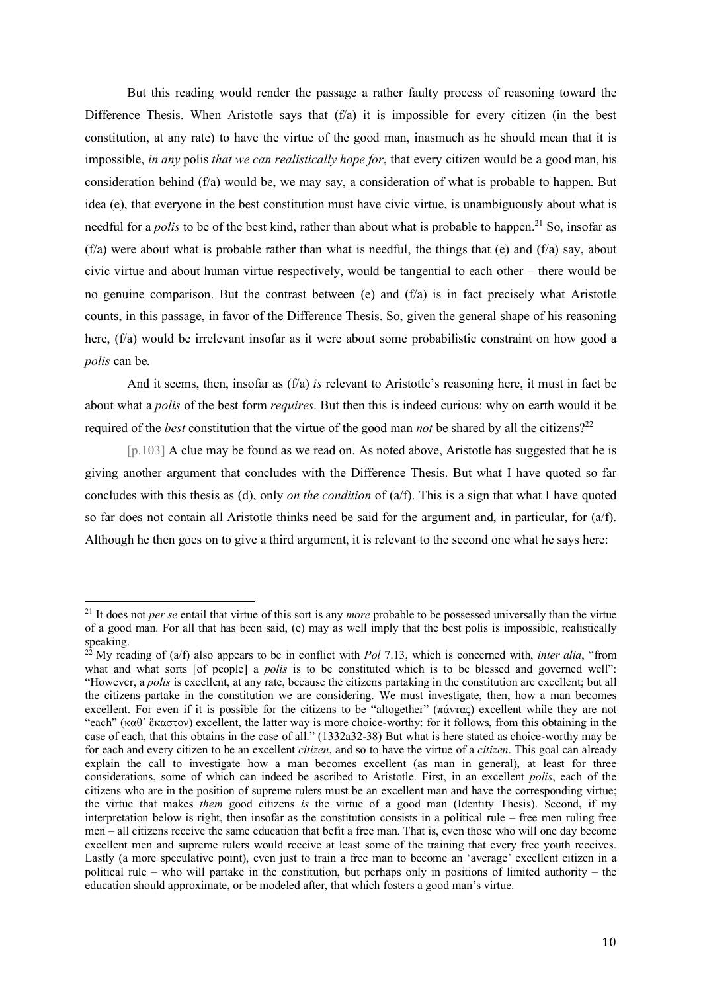But this reading would render the passage a rather faulty process of reasoning toward the Difference Thesis. When Aristotle says that  $(f/a)$  it is impossible for every citizen (in the best constitution, at any rate) to have the virtue of the good man, inasmuch as he should mean that it is impossible, *in any* polis *that we can realistically hope for*, that every citizen would be a good man, his consideration behind  $(f/a)$  would be, we may say, a consideration of what is probable to happen. But idea (e), that everyone in the best constitution must have civic virtue, is unambiguously about what is needful for a *polis* to be of the best kind, rather than about what is probable to happen.<sup>21</sup> So, insofar as (f/a) were about what is probable rather than what is needful, the things that (e) and (f/a) say, about civic virtue and about human virtue respectively, would be tangential to each other – there would be no genuine comparison. But the contrast between (e) and  $(f/a)$  is in fact precisely what Aristotle counts, in this passage, in favor of the Difference Thesis. So, given the general shape of his reasoning here, (f/a) would be irrelevant insofar as it were about some probabilistic constraint on how good a *polis* can be.

And it seems, then, insofar as (f/a) *is* relevant to Aristotle's reasoning here, it must in fact be about what a *polis* of the best form *requires*. But then this is indeed curious: why on earth would it be required of the *best* constitution that the virtue of the good man *not* be shared by all the citizens?<sup>22</sup>

[p.103] A clue may be found as we read on. As noted above, Aristotle has suggested that he is giving another argument that concludes with the Difference Thesis. But what I have quoted so far concludes with this thesis as (d), only *on the condition* of (a/f). This is a sign that what I have quoted so far does not contain all Aristotle thinks need be said for the argument and, in particular, for (a/f). Although he then goes on to give a third argument, it is relevant to the second one what he says here:

<sup>21</sup> It does not *per se* entail that virtue of this sort is any *more* probable to be possessed universally than the virtue of a good man. For all that has been said, (e) may as well imply that the best polis is impossible, realistically speaking.

<sup>22</sup> My reading of (a/f) also appears to be in conflict with *Pol* 7.13, which is concerned with, *inter alia*, "from what and what sorts [of people] a *polis* is to be constituted which is to be blessed and governed well": "However, a *polis* is excellent, at any rate, because the citizens partaking in the constitution are excellent; but all the citizens partake in the constitution we are considering. We must investigate, then, how a man becomes excellent. For even if it is possible for the citizens to be "altogether" (πάντας) excellent while they are not "each" (καθ᾽ ἕκαστον) excellent, the latter way is more choice-worthy: for it follows, from this obtaining in the case of each, that this obtains in the case of all." (1332a32-38) But what is here stated as choice-worthy may be for each and every citizen to be an excellent *citizen*, and so to have the virtue of a *citizen*. This goal can already explain the call to investigate how a man becomes excellent (as man in general), at least for three considerations, some of which can indeed be ascribed to Aristotle. First, in an excellent *polis*, each of the citizens who are in the position of supreme rulers must be an excellent man and have the corresponding virtue; the virtue that makes *them* good citizens *is* the virtue of a good man (Identity Thesis). Second, if my interpretation below is right, then insofar as the constitution consists in a political rule – free men ruling free men – all citizens receive the same education that befit a free man. That is, even those who will one day become excellent men and supreme rulers would receive at least some of the training that every free youth receives. Lastly (a more speculative point), even just to train a free man to become an 'average' excellent citizen in a political rule – who will partake in the constitution, but perhaps only in positions of limited authority – the education should approximate, or be modeled after, that which fosters a good man's virtue.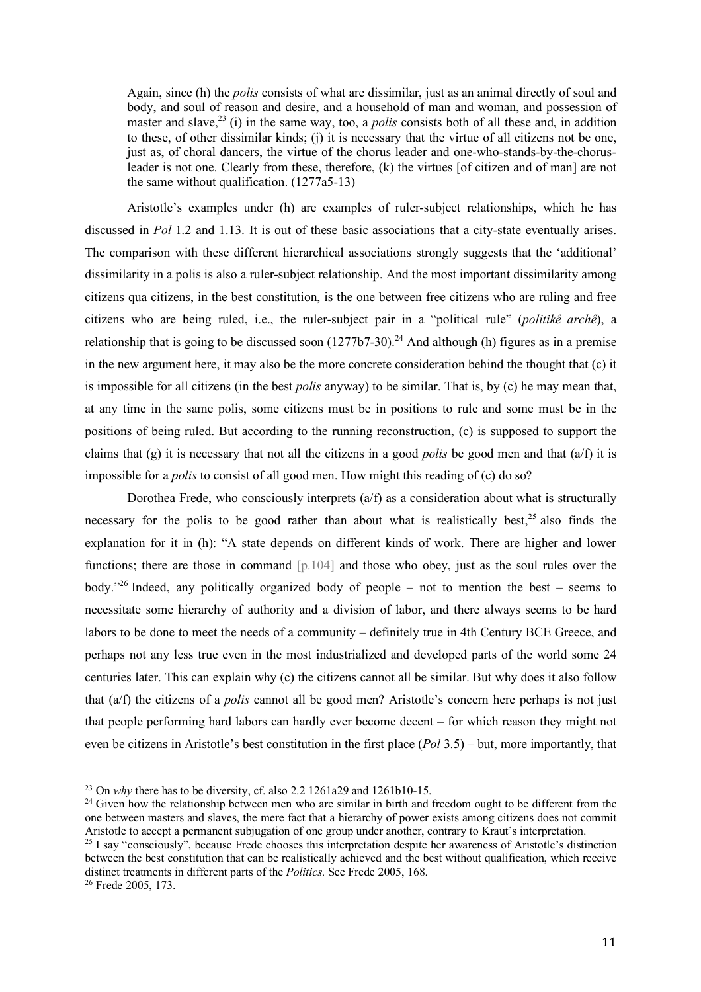Again, since (h) the *polis* consists of what are dissimilar, just as an animal directly of soul and body, and soul of reason and desire, and a household of man and woman, and possession of master and slave,<sup>23</sup> (i) in the same way, too, a *polis* consists both of all these and, in addition to these, of other dissimilar kinds; (i) it is necessary that the virtue of all citizens not be one. just as, of choral dancers, the virtue of the chorus leader and one-who-stands-by-the-chorusleader is not one. Clearly from these, therefore, (k) the virtues [of citizen and of man] are not the same without qualification. (1277a5-13)

Aristotle's examples under (h) are examples of ruler-subject relationships, which he has discussed in *Pol* 1.2 and 1.13. It is out of these basic associations that a city-state eventually arises. The comparison with these different hierarchical associations strongly suggests that the 'additional' dissimilarity in a polis is also a ruler-subject relationship. And the most important dissimilarity among citizens qua citizens, in the best constitution, is the one between free citizens who are ruling and free citizens who are being ruled, i.e., the ruler-subject pair in a "political rule" (*politikê archê*), a relationship that is going to be discussed soon  $(1277b7-30)^{24}$  And although (h) figures as in a premise in the new argument here, it may also be the more concrete consideration behind the thought that (c) it is impossible for all citizens (in the best *polis* anyway) to be similar. That is, by (c) he may mean that, at any time in the same polis, some citizens must be in positions to rule and some must be in the positions of being ruled. But according to the running reconstruction, (c) is supposed to support the claims that (g) it is necessary that not all the citizens in a good *polis* be good men and that (a/f) it is impossible for a *polis* to consist of all good men. How might this reading of (c) do so?

Dorothea Frede, who consciously interprets (a/f) as a consideration about what is structurally necessary for the polis to be good rather than about what is realistically best, $^{25}$  also finds the explanation for it in (h): "A state depends on different kinds of work. There are higher and lower functions; there are those in command [p.104] and those who obey, just as the soul rules over the body."26 Indeed, any politically organized body of people – not to mention the best – seems to necessitate some hierarchy of authority and a division of labor, and there always seems to be hard labors to be done to meet the needs of a community – definitely true in 4th Century BCE Greece, and perhaps not any less true even in the most industrialized and developed parts of the world some 24 centuries later. This can explain why (c) the citizens cannot all be similar. But why does it also follow that (a/f) the citizens of a *polis* cannot all be good men? Aristotle's concern here perhaps is not just that people performing hard labors can hardly ever become decent – for which reason they might not even be citizens in Aristotle's best constitution in the first place (*Pol* 3.5) – but, more importantly, that

<sup>&</sup>lt;sup>23</sup> On *why* there has to be diversity, cf. also 2.2 1261a29 and 1261b10-15.

<sup>&</sup>lt;sup>24</sup> Given how the relationship between men who are similar in birth and freedom ought to be different from the one between masters and slaves, the mere fact that a hierarchy of power exists among citizens does not commit Aristotle to accept a permanent subjugation of one group under another, contrary to Kraut's interpretation. <sup>25</sup> I say "consciously", because Frede chooses this interpretation despite her awareness of Aristotle's distinction

between the best constitution that can be realistically achieved and the best without qualification, which receive distinct treatments in different parts of the *Politics*. See Frede 2005, 168.

<sup>26</sup> Frede 2005, 173.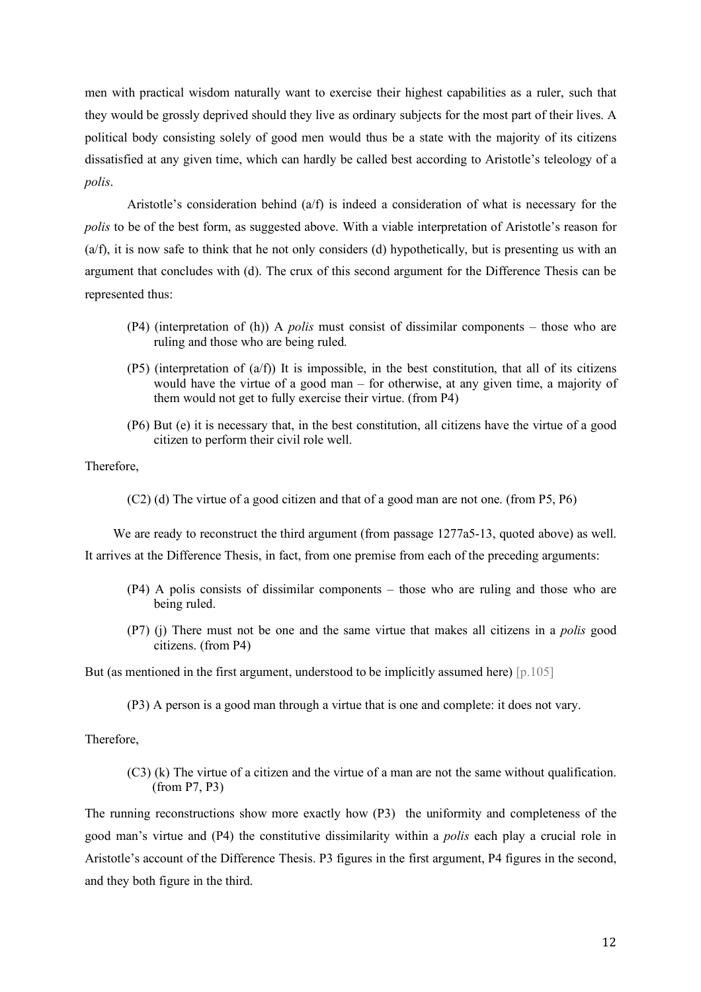men with practical wisdom naturally want to exercise their highest capabilities as a ruler, such that they would be grossly deprived should they live as ordinary subjects for the most part of their lives. A political body consisting solely of good men would thus be a state with the majority of its citizens dissatisfied at any given time, which can hardly be called best according to Aristotle's teleology of a *polis*.

Aristotle's consideration behind  $(a/f)$  is indeed a consideration of what is necessary for the *polis* to be of the best form, as suggested above. With a viable interpretation of Aristotle's reason for (a/f), it is now safe to think that he not only considers (d) hypothetically, but is presenting us with an argument that concludes with (d). The crux of this second argument for the Difference Thesis can be represented thus:

- (P4) (interpretation of (h)) A *polis* must consist of dissimilar components those who are ruling and those who are being ruled.
- (P5) (interpretation of  $(a/f)$ ) It is impossible, in the best constitution, that all of its citizens would have the virtue of a good man – for otherwise, at any given time, a majority of them would not get to fully exercise their virtue. (from P4)
- (P6) But (e) it is necessary that, in the best constitution, all citizens have the virtue of a good citizen to perform their civil role well.

Therefore,

(C2) (d) The virtue of a good citizen and that of a good man are not one. (from P5, P6)

We are ready to reconstruct the third argument (from passage 1277a5-13, quoted above) as well. It arrives at the Difference Thesis, in fact, from one premise from each of the preceding arguments:

- (P4) A polis consists of dissimilar components those who are ruling and those who are being ruled.
- (P7) (j) There must not be one and the same virtue that makes all citizens in a *polis* good citizens. (from P4)

But (as mentioned in the first argument, understood to be implicitly assumed here) [p.105]

(P3) A person is a good man through a virtue that is one and complete: it does not vary.

Therefore,

(C3) (k) The virtue of a citizen and the virtue of a man are not the same without qualification. (from P7, P3)

The running reconstructions show more exactly how (P3) the uniformity and completeness of the good man's virtue and (P4) the constitutive dissimilarity within a *polis* each play a crucial role in Aristotle's account of the Difference Thesis. P3 figures in the first argument, P4 figures in the second, and they both figure in the third.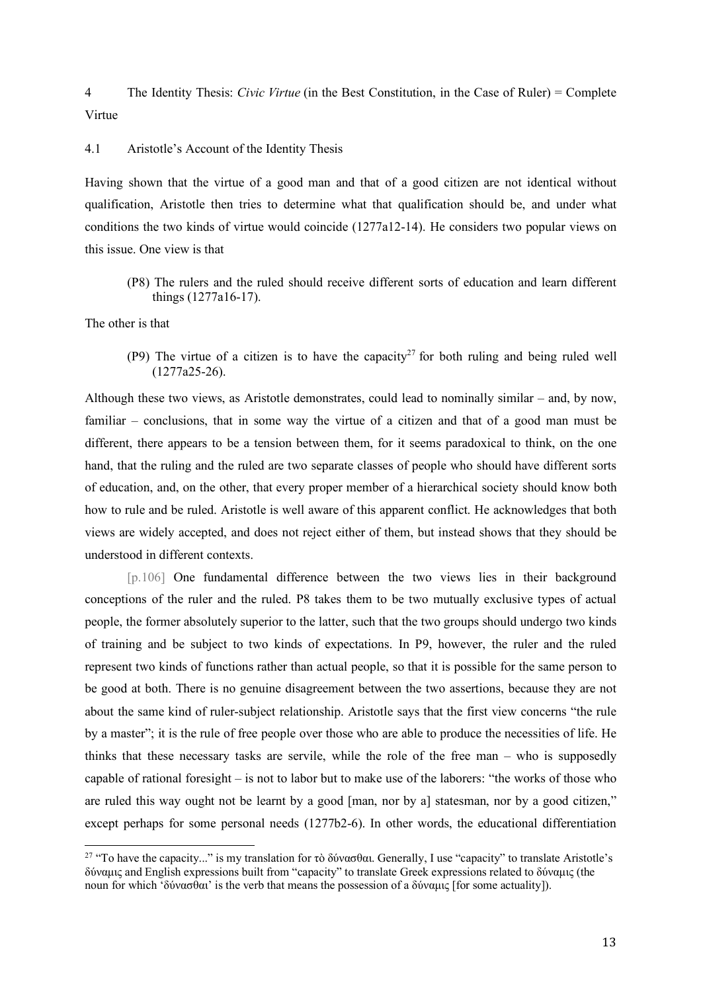4 The Identity Thesis: *Civic Virtue* (in the Best Constitution, in the Case of Ruler) = Complete Virtue

4.1 Aristotle's Account of the Identity Thesis

Having shown that the virtue of a good man and that of a good citizen are not identical without qualification, Aristotle then tries to determine what that qualification should be, and under what conditions the two kinds of virtue would coincide (1277a12-14). He considers two popular views on this issue. One view is that

(P8) The rulers and the ruled should receive different sorts of education and learn different things (1277a16-17).

The other is that

 

(P9) The virtue of a citizen is to have the capacity<sup>27</sup> for both ruling and being ruled well (1277a25-26).

Although these two views, as Aristotle demonstrates, could lead to nominally similar – and, by now, familiar – conclusions, that in some way the virtue of a citizen and that of a good man must be different, there appears to be a tension between them, for it seems paradoxical to think, on the one hand, that the ruling and the ruled are two separate classes of people who should have different sorts of education, and, on the other, that every proper member of a hierarchical society should know both how to rule and be ruled. Aristotle is well aware of this apparent conflict. He acknowledges that both views are widely accepted, and does not reject either of them, but instead shows that they should be understood in different contexts.

[p.106] One fundamental difference between the two views lies in their background conceptions of the ruler and the ruled. P8 takes them to be two mutually exclusive types of actual people, the former absolutely superior to the latter, such that the two groups should undergo two kinds of training and be subject to two kinds of expectations. In P9, however, the ruler and the ruled represent two kinds of functions rather than actual people, so that it is possible for the same person to be good at both. There is no genuine disagreement between the two assertions, because they are not about the same kind of ruler-subject relationship. Aristotle says that the first view concerns "the rule by a master"; it is the rule of free people over those who are able to produce the necessities of life. He thinks that these necessary tasks are servile, while the role of the free man – who is supposedly capable of rational foresight – is not to labor but to make use of the laborers: "the works of those who are ruled this way ought not be learnt by a good [man, nor by a] statesman, nor by a good citizen," except perhaps for some personal needs (1277b2-6). In other words, the educational differentiation

<sup>&</sup>lt;sup>27</sup> "To have the capacity..." is my translation for τὸ δύνασθαι. Generally, I use "capacity" to translate Aristotle's δύναµις and English expressions built from "capacity" to translate Greek expressions related to δύναµις (the noun for which 'δύνασθαι' is the verb that means the possession of a δύναμις [for some actuality]).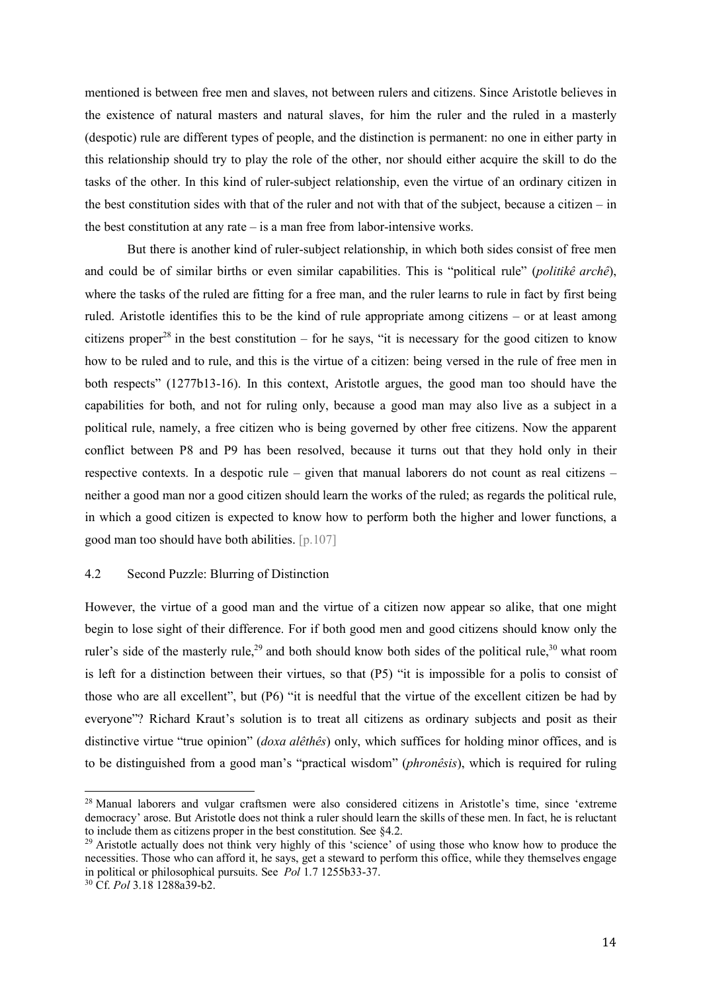mentioned is between free men and slaves, not between rulers and citizens. Since Aristotle believes in the existence of natural masters and natural slaves, for him the ruler and the ruled in a masterly (despotic) rule are different types of people, and the distinction is permanent: no one in either party in this relationship should try to play the role of the other, nor should either acquire the skill to do the tasks of the other. In this kind of ruler-subject relationship, even the virtue of an ordinary citizen in the best constitution sides with that of the ruler and not with that of the subject, because a citizen – in the best constitution at any rate – is a man free from labor-intensive works.

But there is another kind of ruler-subject relationship, in which both sides consist of free men and could be of similar births or even similar capabilities. This is "political rule" (*politikê archê*), where the tasks of the ruled are fitting for a free man, and the ruler learns to rule in fact by first being ruled. Aristotle identifies this to be the kind of rule appropriate among citizens – or at least among citizens proper<sup>28</sup> in the best constitution – for he says, "it is necessary for the good citizen to know how to be ruled and to rule, and this is the virtue of a citizen: being versed in the rule of free men in both respects" (1277b13-16). In this context, Aristotle argues, the good man too should have the capabilities for both, and not for ruling only, because a good man may also live as a subject in a political rule, namely, a free citizen who is being governed by other free citizens. Now the apparent conflict between P8 and P9 has been resolved, because it turns out that they hold only in their respective contexts. In a despotic rule – given that manual laborers do not count as real citizens – neither a good man nor a good citizen should learn the works of the ruled; as regards the political rule, in which a good citizen is expected to know how to perform both the higher and lower functions, a good man too should have both abilities. [p.107]

## 4.2 Second Puzzle: Blurring of Distinction

However, the virtue of a good man and the virtue of a citizen now appear so alike, that one might begin to lose sight of their difference. For if both good men and good citizens should know only the ruler's side of the masterly rule,<sup>29</sup> and both should know both sides of the political rule,<sup>30</sup> what room is left for a distinction between their virtues, so that (P5) "it is impossible for a polis to consist of those who are all excellent", but (P6) "it is needful that the virtue of the excellent citizen be had by everyone"? Richard Kraut's solution is to treat all citizens as ordinary subjects and posit as their distinctive virtue "true opinion" (*doxa alêthês*) only, which suffices for holding minor offices, and is to be distinguished from a good man's "practical wisdom" (*phronêsis*), which is required for ruling

<sup>28</sup> Manual laborers and vulgar craftsmen were also considered citizens in Aristotle's time, since 'extreme democracy' arose. But Aristotle does not think a ruler should learn the skills of these men. In fact, he is reluctant to include them as citizens proper in the best constitution. See §4.2.

<sup>&</sup>lt;sup>29</sup> Aristotle actually does not think very highly of this 'science' of using those who know how to produce the necessities. Those who can afford it, he says, get a steward to perform this office, while they themselves engage in political or philosophical pursuits. See *Pol* 1.7 1255b33-37.

<sup>30</sup> Cf. *Pol* 3.18 1288a39-b2.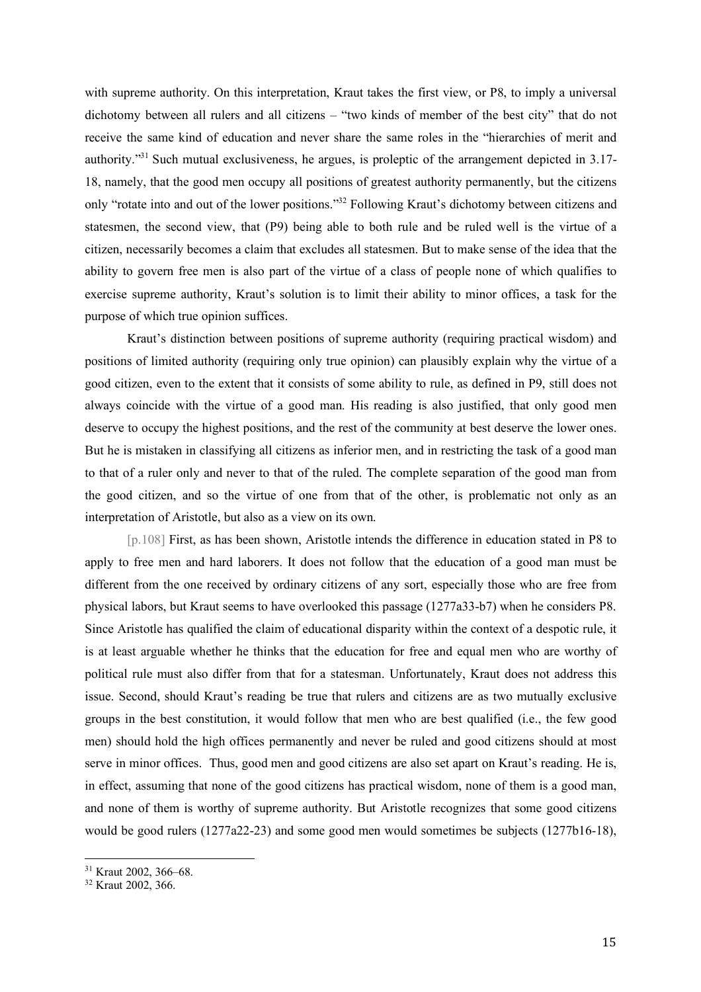with supreme authority. On this interpretation, Kraut takes the first view, or P8, to imply a universal dichotomy between all rulers and all citizens – "two kinds of member of the best city" that do not receive the same kind of education and never share the same roles in the "hierarchies of merit and authority."<sup>31</sup> Such mutual exclusiveness, he argues, is proleptic of the arrangement depicted in 3.17-18, namely, that the good men occupy all positions of greatest authority permanently, but the citizens only "rotate into and out of the lower positions." <sup>32</sup> Following Kraut's dichotomy between citizens and statesmen, the second view, that (P9) being able to both rule and be ruled well is the virtue of a citizen, necessarily becomes a claim that excludes all statesmen. But to make sense of the idea that the ability to govern free men is also part of the virtue of a class of people none of which qualifies to exercise supreme authority, Kraut's solution is to limit their ability to minor offices, a task for the purpose of which true opinion suffices.

Kraut's distinction between positions of supreme authority (requiring practical wisdom) and positions of limited authority (requiring only true opinion) can plausibly explain why the virtue of a good citizen, even to the extent that it consists of some ability to rule, as defined in P9, still does not always coincide with the virtue of a good man. His reading is also justified, that only good men deserve to occupy the highest positions, and the rest of the community at best deserve the lower ones. But he is mistaken in classifying all citizens as inferior men, and in restricting the task of a good man to that of a ruler only and never to that of the ruled. The complete separation of the good man from the good citizen, and so the virtue of one from that of the other, is problematic not only as an interpretation of Aristotle, but also as a view on its own.

[p.108] First, as has been shown, Aristotle intends the difference in education stated in P8 to apply to free men and hard laborers. It does not follow that the education of a good man must be different from the one received by ordinary citizens of any sort, especially those who are free from physical labors, but Kraut seems to have overlooked this passage (1277a33-b7) when he considers P8. Since Aristotle has qualified the claim of educational disparity within the context of a despotic rule, it is at least arguable whether he thinks that the education for free and equal men who are worthy of political rule must also differ from that for a statesman. Unfortunately, Kraut does not address this issue. Second, should Kraut's reading be true that rulers and citizens are as two mutually exclusive groups in the best constitution, it would follow that men who are best qualified (i.e., the few good men) should hold the high offices permanently and never be ruled and good citizens should at most serve in minor offices. Thus, good men and good citizens are also set apart on Kraut's reading. He is, in effect, assuming that none of the good citizens has practical wisdom, none of them is a good man, and none of them is worthy of supreme authority. But Aristotle recognizes that some good citizens would be good rulers (1277a22-23) and some good men would sometimes be subjects (1277b16-18),

<sup>31</sup> Kraut 2002, 366–68.

<sup>&</sup>lt;sup>32</sup> Kraut 2002, 366.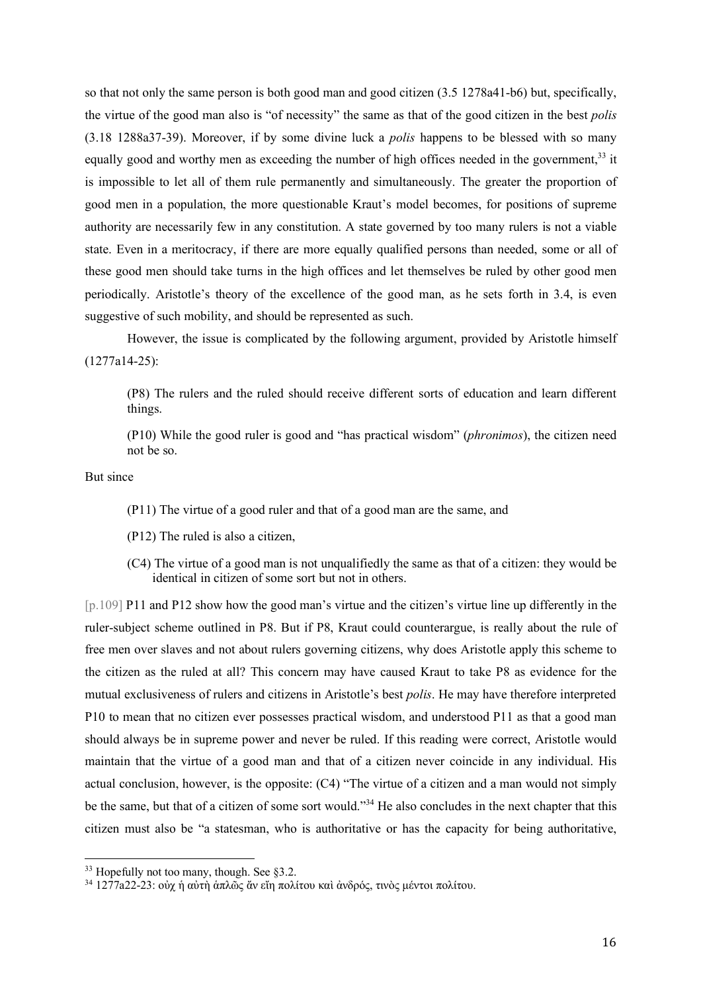so that not only the same person is both good man and good citizen (3.5 1278a41-b6) but, specifically, the virtue of the good man also is "of necessity" the same as that of the good citizen in the best *polis* (3.18 1288a37-39). Moreover, if by some divine luck a *polis* happens to be blessed with so many equally good and worthy men as exceeding the number of high offices needed in the government,<sup>33</sup> it is impossible to let all of them rule permanently and simultaneously. The greater the proportion of good men in a population, the more questionable Kraut's model becomes, for positions of supreme authority are necessarily few in any constitution. A state governed by too many rulers is not a viable state. Even in a meritocracy, if there are more equally qualified persons than needed, some or all of these good men should take turns in the high offices and let themselves be ruled by other good men periodically. Aristotle's theory of the excellence of the good man, as he sets forth in 3.4, is even suggestive of such mobility, and should be represented as such.

However, the issue is complicated by the following argument, provided by Aristotle himself (1277a14-25):

(P8) The rulers and the ruled should receive different sorts of education and learn different things.

(P10) While the good ruler is good and "has practical wisdom" (*phronimos*), the citizen need not be so.

But since

(P11) The virtue of a good ruler and that of a good man are the same, and

(P12) The ruled is also a citizen,

(C4) The virtue of a good man is not unqualifiedly the same as that of a citizen: they would be identical in citizen of some sort but not in others.

[p.109] P11 and P12 show how the good man's virtue and the citizen's virtue line up differently in the ruler-subject scheme outlined in P8. But if P8, Kraut could counterargue, is really about the rule of free men over slaves and not about rulers governing citizens, why does Aristotle apply this scheme to the citizen as the ruled at all? This concern may have caused Kraut to take P8 as evidence for the mutual exclusiveness of rulers and citizens in Aristotle's best *polis*. He may have therefore interpreted P10 to mean that no citizen ever possesses practical wisdom, and understood P11 as that a good man should always be in supreme power and never be ruled. If this reading were correct, Aristotle would maintain that the virtue of a good man and that of a citizen never coincide in any individual. His actual conclusion, however, is the opposite: (C4) "The virtue of a citizen and a man would not simply be the same, but that of a citizen of some sort would."<sup>34</sup> He also concludes in the next chapter that this citizen must also be "a statesman, who is authoritative or has the capacity for being authoritative,

<sup>&</sup>lt;sup>33</sup> Hopefully not too many, though. See §3.2.

<sup>34</sup> 1277a22-23: οὐχ ἡ αὐτὴ ἁπλῶς ἄν εἴη πολίτου καὶ ἀνδρός, τινὸς µέντοι πολίτου.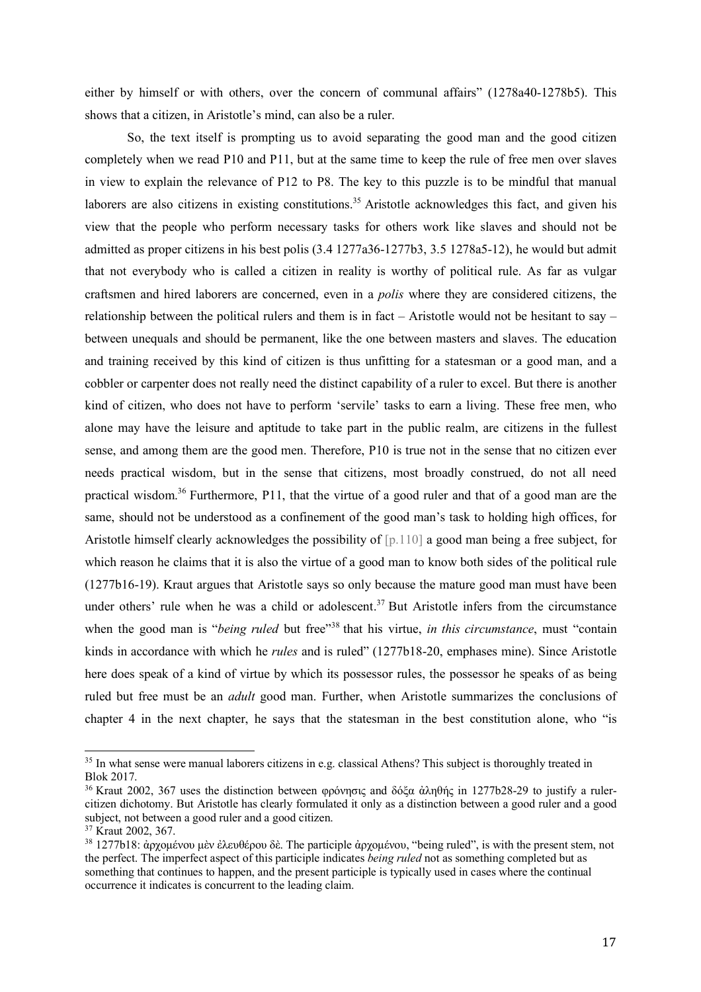either by himself or with others, over the concern of communal affairs" (1278a40-1278b5). This shows that a citizen, in Aristotle's mind, can also be a ruler.

So, the text itself is prompting us to avoid separating the good man and the good citizen completely when we read P10 and P11, but at the same time to keep the rule of free men over slaves in view to explain the relevance of P12 to P8. The key to this puzzle is to be mindful that manual laborers are also citizens in existing constitutions.<sup>35</sup> Aristotle acknowledges this fact, and given his view that the people who perform necessary tasks for others work like slaves and should not be admitted as proper citizens in his best polis (3.4 1277a36-1277b3, 3.5 1278a5-12), he would but admit that not everybody who is called a citizen in reality is worthy of political rule. As far as vulgar craftsmen and hired laborers are concerned, even in a *polis* where they are considered citizens, the relationship between the political rulers and them is in fact – Aristotle would not be hesitant to say – between unequals and should be permanent, like the one between masters and slaves. The education and training received by this kind of citizen is thus unfitting for a statesman or a good man, and a cobbler or carpenter does not really need the distinct capability of a ruler to excel. But there is another kind of citizen, who does not have to perform 'servile' tasks to earn a living. These free men, who alone may have the leisure and aptitude to take part in the public realm, are citizens in the fullest sense, and among them are the good men. Therefore, P10 is true not in the sense that no citizen ever needs practical wisdom, but in the sense that citizens, most broadly construed, do not all need practical wisdom.36 Furthermore, P11, that the virtue of a good ruler and that of a good man are the same, should not be understood as a confinement of the good man's task to holding high offices, for Aristotle himself clearly acknowledges the possibility of  $[p,110]$  a good man being a free subject, for which reason he claims that it is also the virtue of a good man to know both sides of the political rule (1277b16-19). Kraut argues that Aristotle says so only because the mature good man must have been under others' rule when he was a child or adolescent.<sup>37</sup> But Aristotle infers from the circumstance when the good man is "*being ruled* but free"<sup>38</sup> that his virtue, *in this circumstance*, must "contain kinds in accordance with which he *rules* and is ruled" (1277b18-20, emphases mine). Since Aristotle here does speak of a kind of virtue by which its possessor rules, the possessor he speaks of as being ruled but free must be an *adult* good man. Further, when Aristotle summarizes the conclusions of chapter 4 in the next chapter, he says that the statesman in the best constitution alone, who "is

<sup>&</sup>lt;sup>35</sup> In what sense were manual laborers citizens in e.g. classical Athens? This subject is thoroughly treated in Blok 2017.

<sup>&</sup>lt;sup>36</sup> Kraut 2002, 367 uses the distinction between φρόνησις and δόξα άληθής in 1277b28-29 to justify a rulercitizen dichotomy. But Aristotle has clearly formulated it only as a distinction between a good ruler and a good subject, not between a good ruler and a good citizen.

<sup>&</sup>lt;sup>37</sup> Kraut 2002, 367.

<sup>&</sup>lt;sup>38</sup> 1277b18: άρχομένου μὲν ἐλευθέρου δὲ. The participle ἀρχομένου, "being ruled", is with the present stem, not the perfect. The imperfect aspect of this participle indicates *being ruled* not as something completed but as something that continues to happen, and the present participle is typically used in cases where the continual occurrence it indicates is concurrent to the leading claim.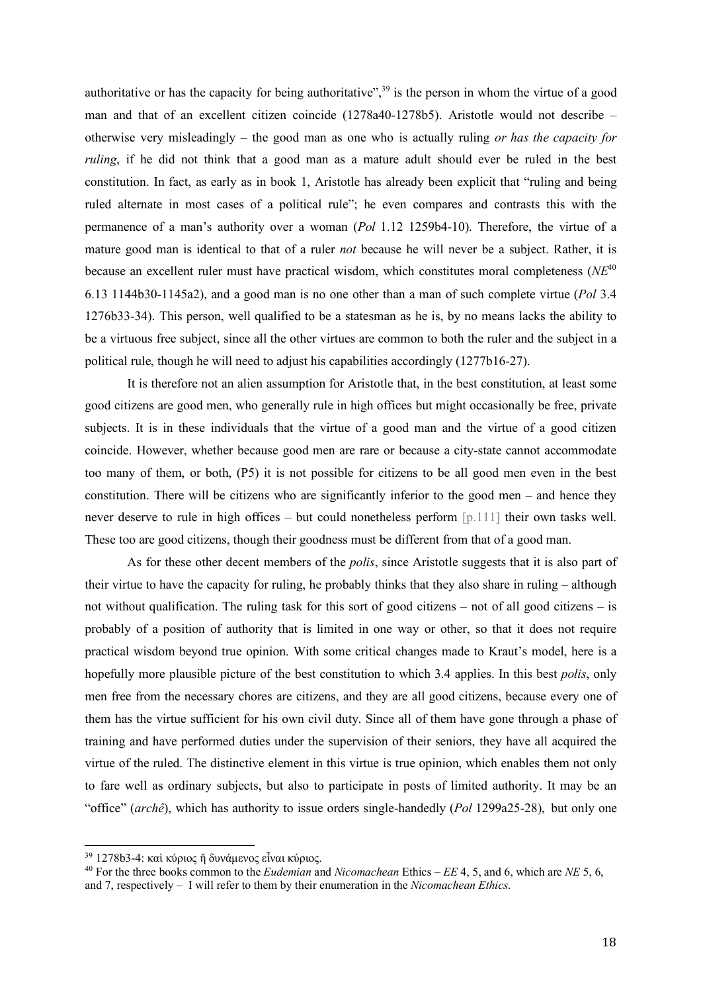authoritative or has the capacity for being authoritative",<sup>39</sup> is the person in whom the virtue of a good man and that of an excellent citizen coincide (1278a40-1278b5). Aristotle would not describe – otherwise very misleadingly – the good man as one who is actually ruling *or has the capacity for ruling*, if he did not think that a good man as a mature adult should ever be ruled in the best constitution. In fact, as early as in book 1, Aristotle has already been explicit that "ruling and being ruled alternate in most cases of a political rule"; he even compares and contrasts this with the permanence of a man's authority over a woman (*Pol* 1.12 1259b4-10). Therefore, the virtue of a mature good man is identical to that of a ruler *not* because he will never be a subject. Rather, it is because an excellent ruler must have practical wisdom, which constitutes moral completeness (*NE*<sup>40</sup> 6.13 1144b30-1145a2), and a good man is no one other than a man of such complete virtue (*Pol* 3.4 1276b33-34). This person, well qualified to be a statesman as he is, by no means lacks the ability to be a virtuous free subject, since all the other virtues are common to both the ruler and the subject in a political rule, though he will need to adjust his capabilities accordingly (1277b16-27).

It is therefore not an alien assumption for Aristotle that, in the best constitution, at least some good citizens are good men, who generally rule in high offices but might occasionally be free, private subjects. It is in these individuals that the virtue of a good man and the virtue of a good citizen coincide. However, whether because good men are rare or because a city-state cannot accommodate too many of them, or both, (P5) it is not possible for citizens to be all good men even in the best constitution. There will be citizens who are significantly inferior to the good men – and hence they never deserve to rule in high offices – but could nonetheless perform [p.111] their own tasks well. These too are good citizens, though their goodness must be different from that of a good man.

As for these other decent members of the *polis*, since Aristotle suggests that it is also part of their virtue to have the capacity for ruling, he probably thinks that they also share in ruling – although not without qualification. The ruling task for this sort of good citizens – not of all good citizens – is probably of a position of authority that is limited in one way or other, so that it does not require practical wisdom beyond true opinion. With some critical changes made to Kraut's model, here is a hopefully more plausible picture of the best constitution to which 3.4 applies. In this best *polis*, only men free from the necessary chores are citizens, and they are all good citizens, because every one of them has the virtue sufficient for his own civil duty. Since all of them have gone through a phase of training and have performed duties under the supervision of their seniors, they have all acquired the virtue of the ruled. The distinctive element in this virtue is true opinion, which enables them not only to fare well as ordinary subjects, but also to participate in posts of limited authority. It may be an "office" (*archê*), which has authority to issue orders single-handedly (*Pol* 1299a25-28), but only one

 $39$  1278b3-4: καὶ κύριος ἤ δυνάμενος εἶναι κύριος.

<sup>40</sup> For the three books common to the *Eudemian* and *Nicomachean* Ethics – *EE* 4, 5, and 6, which are *NE* 5, 6, and 7, respectively – I will refer to them by their enumeration in the *Nicomachean Ethics*.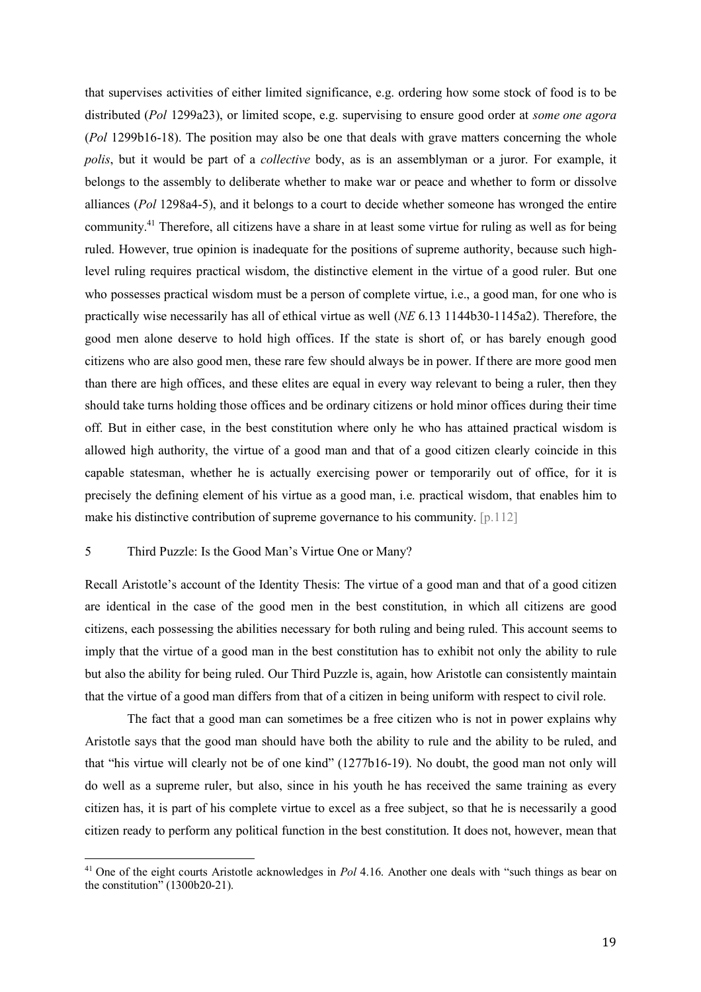that supervises activities of either limited significance, e.g. ordering how some stock of food is to be distributed (*Pol* 1299a23), or limited scope, e.g. supervising to ensure good order at *some one agora* (*Pol* 1299b16-18). The position may also be one that deals with grave matters concerning the whole *polis*, but it would be part of a *collective* body, as is an assemblyman or a juror. For example, it belongs to the assembly to deliberate whether to make war or peace and whether to form or dissolve alliances (*Pol* 1298a4-5), and it belongs to a court to decide whether someone has wronged the entire community.<sup>41</sup> Therefore, all citizens have a share in at least some virtue for ruling as well as for being ruled. However, true opinion is inadequate for the positions of supreme authority, because such highlevel ruling requires practical wisdom, the distinctive element in the virtue of a good ruler. But one who possesses practical wisdom must be a person of complete virtue, i.e., a good man, for one who is practically wise necessarily has all of ethical virtue as well (*NE* 6.13 1144b30-1145a2). Therefore, the good men alone deserve to hold high offices. If the state is short of, or has barely enough good citizens who are also good men, these rare few should always be in power. If there are more good men than there are high offices, and these elites are equal in every way relevant to being a ruler, then they should take turns holding those offices and be ordinary citizens or hold minor offices during their time off. But in either case, in the best constitution where only he who has attained practical wisdom is allowed high authority, the virtue of a good man and that of a good citizen clearly coincide in this capable statesman, whether he is actually exercising power or temporarily out of office, for it is precisely the defining element of his virtue as a good man, i.e. practical wisdom, that enables him to make his distinctive contribution of supreme governance to his community. [p.112]

## 5 Third Puzzle: Is the Good Man's Virtue One or Many?

 

Recall Aristotle's account of the Identity Thesis: The virtue of a good man and that of a good citizen are identical in the case of the good men in the best constitution, in which all citizens are good citizens, each possessing the abilities necessary for both ruling and being ruled. This account seems to imply that the virtue of a good man in the best constitution has to exhibit not only the ability to rule but also the ability for being ruled. Our Third Puzzle is, again, how Aristotle can consistently maintain that the virtue of a good man differs from that of a citizen in being uniform with respect to civil role.

The fact that a good man can sometimes be a free citizen who is not in power explains why Aristotle says that the good man should have both the ability to rule and the ability to be ruled, and that "his virtue will clearly not be of one kind" (1277b16-19). No doubt, the good man not only will do well as a supreme ruler, but also, since in his youth he has received the same training as every citizen has, it is part of his complete virtue to excel as a free subject, so that he is necessarily a good citizen ready to perform any political function in the best constitution. It does not, however, mean that

<sup>41</sup> One of the eight courts Aristotle acknowledges in *Pol* 4.16. Another one deals with "such things as bear on the constitution" (1300b20-21).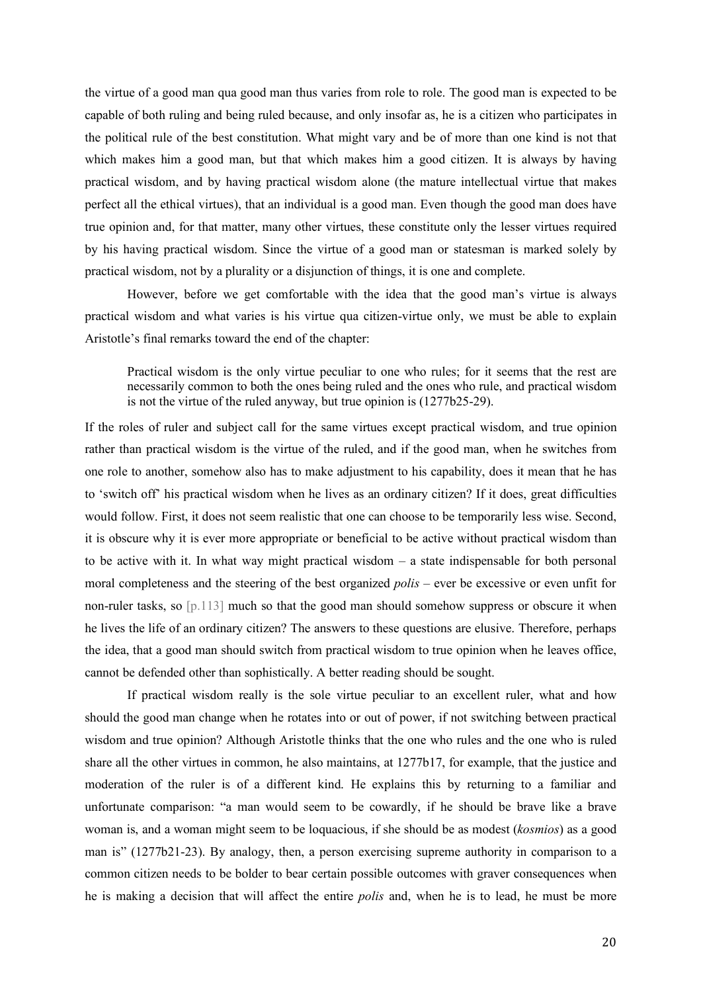the virtue of a good man qua good man thus varies from role to role. The good man is expected to be capable of both ruling and being ruled because, and only insofar as, he is a citizen who participates in the political rule of the best constitution. What might vary and be of more than one kind is not that which makes him a good man, but that which makes him a good citizen. It is always by having practical wisdom, and by having practical wisdom alone (the mature intellectual virtue that makes perfect all the ethical virtues), that an individual is a good man. Even though the good man does have true opinion and, for that matter, many other virtues, these constitute only the lesser virtues required by his having practical wisdom. Since the virtue of a good man or statesman is marked solely by practical wisdom, not by a plurality or a disjunction of things, it is one and complete.

However, before we get comfortable with the idea that the good man's virtue is always practical wisdom and what varies is his virtue qua citizen-virtue only, we must be able to explain Aristotle's final remarks toward the end of the chapter:

Practical wisdom is the only virtue peculiar to one who rules; for it seems that the rest are necessarily common to both the ones being ruled and the ones who rule, and practical wisdom is not the virtue of the ruled anyway, but true opinion is (1277b25-29).

If the roles of ruler and subject call for the same virtues except practical wisdom, and true opinion rather than practical wisdom is the virtue of the ruled, and if the good man, when he switches from one role to another, somehow also has to make adjustment to his capability, does it mean that he has to 'switch off' his practical wisdom when he lives as an ordinary citizen? If it does, great difficulties would follow. First, it does not seem realistic that one can choose to be temporarily less wise. Second, it is obscure why it is ever more appropriate or beneficial to be active without practical wisdom than to be active with it. In what way might practical wisdom – a state indispensable for both personal moral completeness and the steering of the best organized *polis* – ever be excessive or even unfit for non-ruler tasks, so [p.113] much so that the good man should somehow suppress or obscure it when he lives the life of an ordinary citizen? The answers to these questions are elusive. Therefore, perhaps the idea, that a good man should switch from practical wisdom to true opinion when he leaves office, cannot be defended other than sophistically. A better reading should be sought.

If practical wisdom really is the sole virtue peculiar to an excellent ruler, what and how should the good man change when he rotates into or out of power, if not switching between practical wisdom and true opinion? Although Aristotle thinks that the one who rules and the one who is ruled share all the other virtues in common, he also maintains, at 1277b17, for example, that the justice and moderation of the ruler is of a different kind. He explains this by returning to a familiar and unfortunate comparison: "a man would seem to be cowardly, if he should be brave like a brave woman is, and a woman might seem to be loquacious, if she should be as modest (*kosmios*) as a good man is" (1277b21-23). By analogy, then, a person exercising supreme authority in comparison to a common citizen needs to be bolder to bear certain possible outcomes with graver consequences when he is making a decision that will affect the entire *polis* and, when he is to lead, he must be more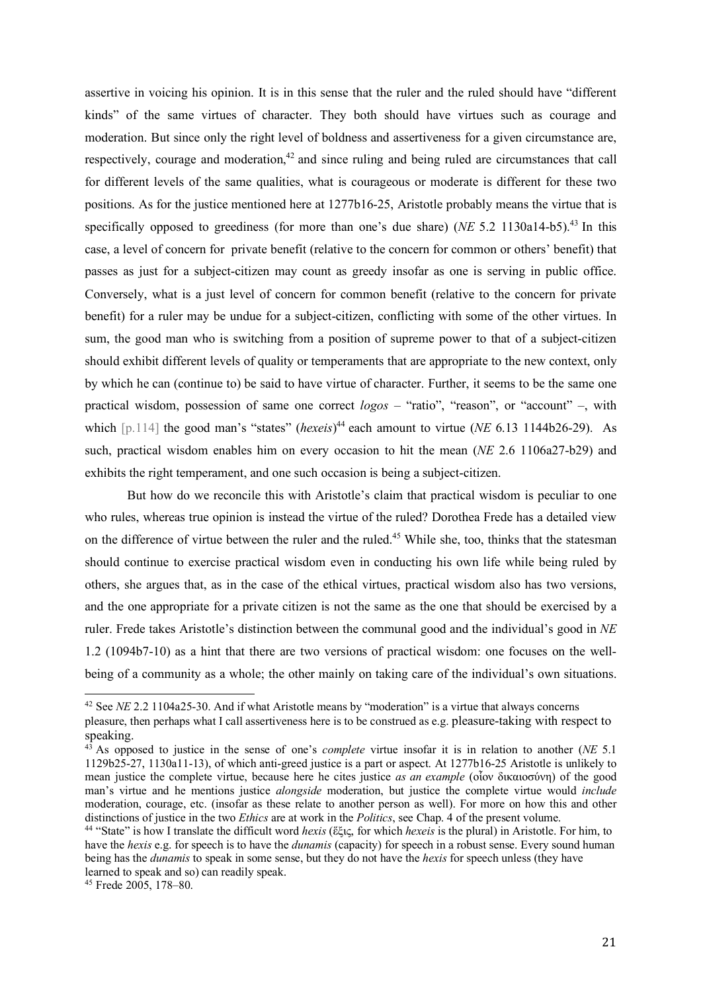assertive in voicing his opinion. It is in this sense that the ruler and the ruled should have "different kinds" of the same virtues of character. They both should have virtues such as courage and moderation. But since only the right level of boldness and assertiveness for a given circumstance are, respectively, courage and moderation, $42$  and since ruling and being ruled are circumstances that call for different levels of the same qualities, what is courageous or moderate is different for these two positions. As for the justice mentioned here at 1277b16-25, Aristotle probably means the virtue that is specifically opposed to greediness (for more than one's due share) (*NE* 5.2 1130a14-b5).<sup>43</sup> In this case, a level of concern for private benefit (relative to the concern for common or others' benefit) that passes as just for a subject-citizen may count as greedy insofar as one is serving in public office. Conversely, what is a just level of concern for common benefit (relative to the concern for private benefit) for a ruler may be undue for a subject-citizen, conflicting with some of the other virtues. In sum, the good man who is switching from a position of supreme power to that of a subject-citizen should exhibit different levels of quality or temperaments that are appropriate to the new context, only by which he can (continue to) be said to have virtue of character. Further, it seems to be the same one practical wisdom, possession of same one correct *logos* – "ratio", "reason", or "account" –, with which [p.114] the good man's "states" (*hexeis*)<sup>44</sup> each amount to virtue (*NE* 6.13 1144b26-29). As such, practical wisdom enables him on every occasion to hit the mean (*NE* 2.6 1106a27-b29) and exhibits the right temperament, and one such occasion is being a subject-citizen.

But how do we reconcile this with Aristotle's claim that practical wisdom is peculiar to one who rules, whereas true opinion is instead the virtue of the ruled? Dorothea Frede has a detailed view on the difference of virtue between the ruler and the ruled.<sup>45</sup> While she, too, thinks that the statesman should continue to exercise practical wisdom even in conducting his own life while being ruled by others, she argues that, as in the case of the ethical virtues, practical wisdom also has two versions, and the one appropriate for a private citizen is not the same as the one that should be exercised by a ruler. Frede takes Aristotle's distinction between the communal good and the individual's good in *NE* 1.2 (1094b7-10) as a hint that there are two versions of practical wisdom: one focuses on the wellbeing of a community as a whole; the other mainly on taking care of the individual's own situations.

<sup>42</sup> See *NE* 2.2 1104a25-30. And if what Aristotle means by "moderation" is a virtue that always concerns pleasure, then perhaps what I call assertiveness here is to be construed as e.g. pleasure-taking with respect to

speaking.

<sup>43</sup> As opposed to justice in the sense of one's *complete* virtue insofar it is in relation to another (*NE* 5.1 1129b25-27, 1130a11-13), of which anti-greed justice is a part or aspect. At 1277b16-25 Aristotle is unlikely to mean justice the complete virtue, because here he cites justice *as an example* (οἷον δικαιοσύνη) of the good man's virtue and he mentions justice *alongside* moderation, but justice the complete virtue would *include* moderation, courage, etc. (insofar as these relate to another person as well). For more on how this and other distinctions of justice in the two *Ethics* are at work in the *Politics*, see Chap. 4 of the present volume.

<sup>44</sup> "State" is how I translate the difficult word *hexis* (ἕξις, for which *hexeis* is the plural) in Aristotle. For him, to have the *hexis* e.g. for speech is to have the *dunamis* (capacity) for speech in a robust sense. Every sound human being has the *dunamis* to speak in some sense, but they do not have the *hexis* for speech unless (they have learned to speak and so) can readily speak.

<sup>45</sup> Frede 2005, 178–80.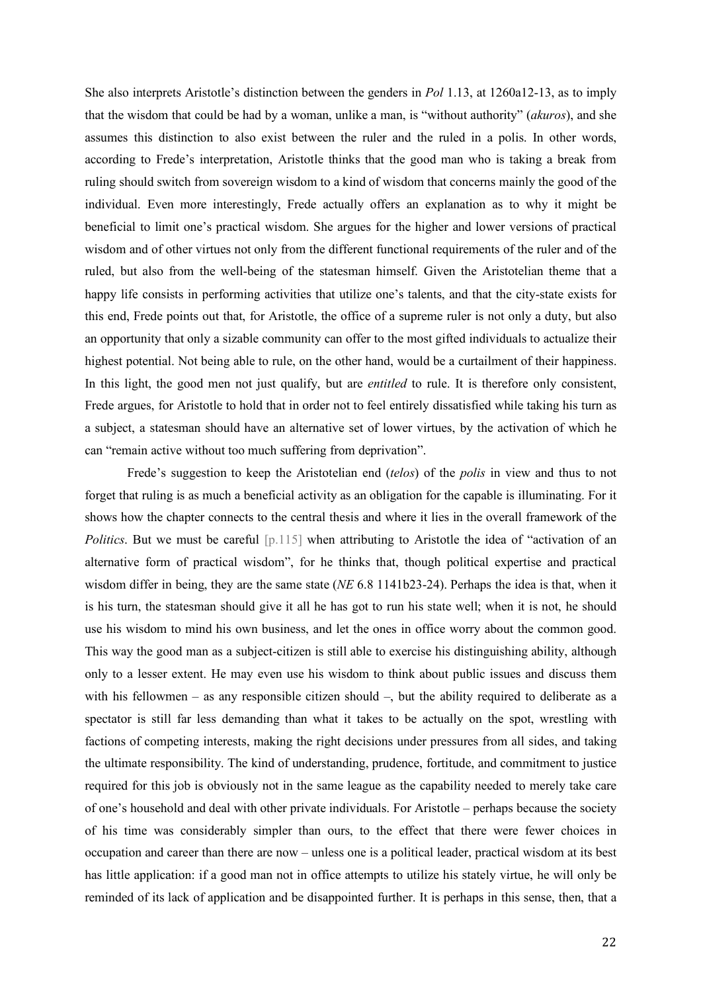She also interprets Aristotle's distinction between the genders in *Pol* 1.13, at 1260a12-13, as to imply that the wisdom that could be had by a woman, unlike a man, is "without authority" (*akuros*), and she assumes this distinction to also exist between the ruler and the ruled in a polis. In other words, according to Frede's interpretation, Aristotle thinks that the good man who is taking a break from ruling should switch from sovereign wisdom to a kind of wisdom that concerns mainly the good of the individual. Even more interestingly, Frede actually offers an explanation as to why it might be beneficial to limit one's practical wisdom. She argues for the higher and lower versions of practical wisdom and of other virtues not only from the different functional requirements of the ruler and of the ruled, but also from the well-being of the statesman himself. Given the Aristotelian theme that a happy life consists in performing activities that utilize one's talents, and that the city-state exists for this end, Frede points out that, for Aristotle, the office of a supreme ruler is not only a duty, but also an opportunity that only a sizable community can offer to the most gifted individuals to actualize their highest potential. Not being able to rule, on the other hand, would be a curtailment of their happiness. In this light, the good men not just qualify, but are *entitled* to rule. It is therefore only consistent, Frede argues, for Aristotle to hold that in order not to feel entirely dissatisfied while taking his turn as a subject, a statesman should have an alternative set of lower virtues, by the activation of which he can "remain active without too much suffering from deprivation".

Frede's suggestion to keep the Aristotelian end (*telos*) of the *polis* in view and thus to not forget that ruling is as much a beneficial activity as an obligation for the capable is illuminating. For it shows how the chapter connects to the central thesis and where it lies in the overall framework of the *Politics*. But we must be careful [p.115] when attributing to Aristotle the idea of "activation of an alternative form of practical wisdom", for he thinks that, though political expertise and practical wisdom differ in being, they are the same state (*NE* 6.8 1141b23-24). Perhaps the idea is that, when it is his turn, the statesman should give it all he has got to run his state well; when it is not, he should use his wisdom to mind his own business, and let the ones in office worry about the common good. This way the good man as a subject-citizen is still able to exercise his distinguishing ability, although only to a lesser extent. He may even use his wisdom to think about public issues and discuss them with his fellowmen – as any responsible citizen should –, but the ability required to deliberate as a spectator is still far less demanding than what it takes to be actually on the spot, wrestling with factions of competing interests, making the right decisions under pressures from all sides, and taking the ultimate responsibility. The kind of understanding, prudence, fortitude, and commitment to justice required for this job is obviously not in the same league as the capability needed to merely take care of one's household and deal with other private individuals. For Aristotle – perhaps because the society of his time was considerably simpler than ours, to the effect that there were fewer choices in occupation and career than there are now – unless one is a political leader, practical wisdom at its best has little application: if a good man not in office attempts to utilize his stately virtue, he will only be reminded of its lack of application and be disappointed further. It is perhaps in this sense, then, that a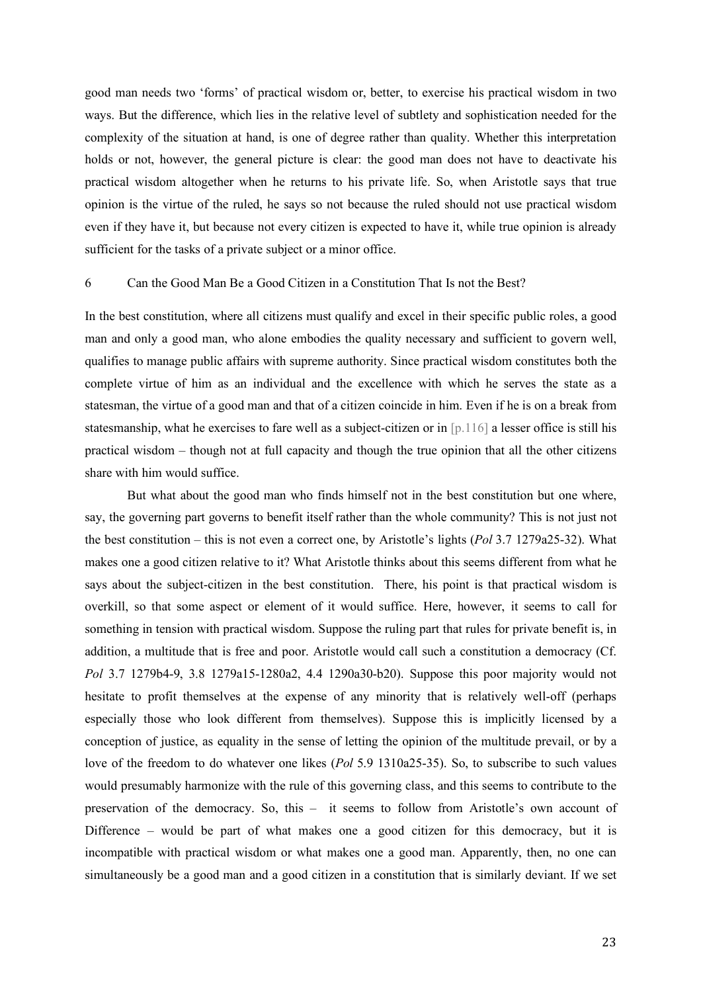good man needs two 'forms' of practical wisdom or, better, to exercise his practical wisdom in two ways. But the difference, which lies in the relative level of subtlety and sophistication needed for the complexity of the situation at hand, is one of degree rather than quality. Whether this interpretation holds or not, however, the general picture is clear: the good man does not have to deactivate his practical wisdom altogether when he returns to his private life. So, when Aristotle says that true opinion is the virtue of the ruled, he says so not because the ruled should not use practical wisdom even if they have it, but because not every citizen is expected to have it, while true opinion is already sufficient for the tasks of a private subject or a minor office.

#### 6 Can the Good Man Be a Good Citizen in a Constitution That Is not the Best?

In the best constitution, where all citizens must qualify and excel in their specific public roles, a good man and only a good man, who alone embodies the quality necessary and sufficient to govern well, qualifies to manage public affairs with supreme authority. Since practical wisdom constitutes both the complete virtue of him as an individual and the excellence with which he serves the state as a statesman, the virtue of a good man and that of a citizen coincide in him. Even if he is on a break from statesmanship, what he exercises to fare well as a subject-citizen or in [p.116] a lesser office is still his practical wisdom – though not at full capacity and though the true opinion that all the other citizens share with him would suffice.

But what about the good man who finds himself not in the best constitution but one where, say, the governing part governs to benefit itself rather than the whole community? This is not just not the best constitution – this is not even a correct one, by Aristotle's lights (*Pol* 3.7 1279a25-32). What makes one a good citizen relative to it? What Aristotle thinks about this seems different from what he says about the subject-citizen in the best constitution. There, his point is that practical wisdom is overkill, so that some aspect or element of it would suffice. Here, however, it seems to call for something in tension with practical wisdom. Suppose the ruling part that rules for private benefit is, in addition, a multitude that is free and poor. Aristotle would call such a constitution a democracy (Cf. *Pol* 3.7 1279b4-9, 3.8 1279a15-1280a2, 4.4 1290a30-b20). Suppose this poor majority would not hesitate to profit themselves at the expense of any minority that is relatively well-off (perhaps especially those who look different from themselves). Suppose this is implicitly licensed by a conception of justice, as equality in the sense of letting the opinion of the multitude prevail, or by a love of the freedom to do whatever one likes (*Pol* 5.9 1310a25-35). So, to subscribe to such values would presumably harmonize with the rule of this governing class, and this seems to contribute to the preservation of the democracy. So, this – it seems to follow from Aristotle's own account of Difference – would be part of what makes one a good citizen for this democracy, but it is incompatible with practical wisdom or what makes one a good man. Apparently, then, no one can simultaneously be a good man and a good citizen in a constitution that is similarly deviant. If we set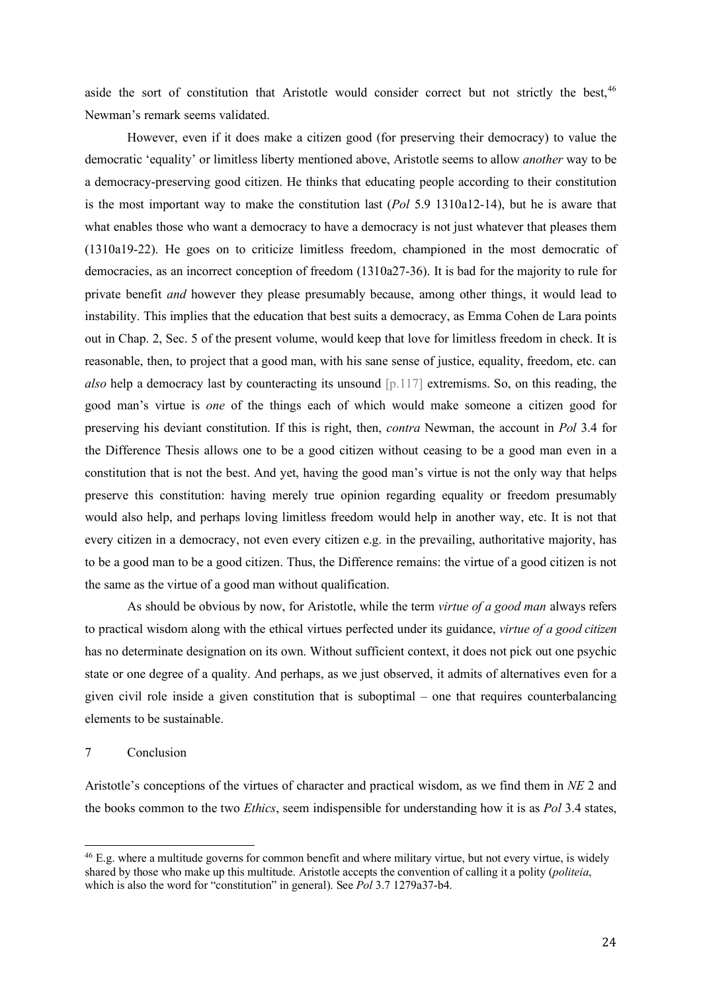aside the sort of constitution that Aristotle would consider correct but not strictly the best,<sup>46</sup> Newman's remark seems validated.

However, even if it does make a citizen good (for preserving their democracy) to value the democratic 'equality' or limitless liberty mentioned above, Aristotle seems to allow *another* way to be a democracy-preserving good citizen. He thinks that educating people according to their constitution is the most important way to make the constitution last (*Pol* 5.9 1310a12-14), but he is aware that what enables those who want a democracy to have a democracy is not just whatever that pleases them (1310a19-22). He goes on to criticize limitless freedom, championed in the most democratic of democracies, as an incorrect conception of freedom (1310a27-36). It is bad for the majority to rule for private benefit *and* however they please presumably because, among other things, it would lead to instability. This implies that the education that best suits a democracy, as Emma Cohen de Lara points out in Chap. 2, Sec. 5 of the present volume, would keep that love for limitless freedom in check. It is reasonable, then, to project that a good man, with his sane sense of justice, equality, freedom, etc. can *also* help a democracy last by counteracting its unsound [p.117] extremisms. So, on this reading, the good man's virtue is *one* of the things each of which would make someone a citizen good for preserving his deviant constitution. If this is right, then, *contra* Newman, the account in *Pol* 3.4 for the Difference Thesis allows one to be a good citizen without ceasing to be a good man even in a constitution that is not the best. And yet, having the good man's virtue is not the only way that helps preserve this constitution: having merely true opinion regarding equality or freedom presumably would also help, and perhaps loving limitless freedom would help in another way, etc. It is not that every citizen in a democracy, not even every citizen e.g. in the prevailing, authoritative majority, has to be a good man to be a good citizen. Thus, the Difference remains: the virtue of a good citizen is not the same as the virtue of a good man without qualification.

As should be obvious by now, for Aristotle, while the term *virtue of a good man* always refers to practical wisdom along with the ethical virtues perfected under its guidance, *virtue of a good citizen* has no determinate designation on its own. Without sufficient context, it does not pick out one psychic state or one degree of a quality. And perhaps, as we just observed, it admits of alternatives even for a given civil role inside a given constitution that is suboptimal – one that requires counterbalancing elements to be sustainable.

## 7 Conclusion

 

Aristotle's conceptions of the virtues of character and practical wisdom, as we find them in *NE* 2 and the books common to the two *Ethics*, seem indispensible for understanding how it is as *Pol* 3.4 states,

 $46$  E.g. where a multitude governs for common benefit and where military virtue, but not every virtue, is widely shared by those who make up this multitude. Aristotle accepts the convention of calling it a polity (*politeia*, which is also the word for "constitution" in general). See *Pol* 3.7 1279a37-b4.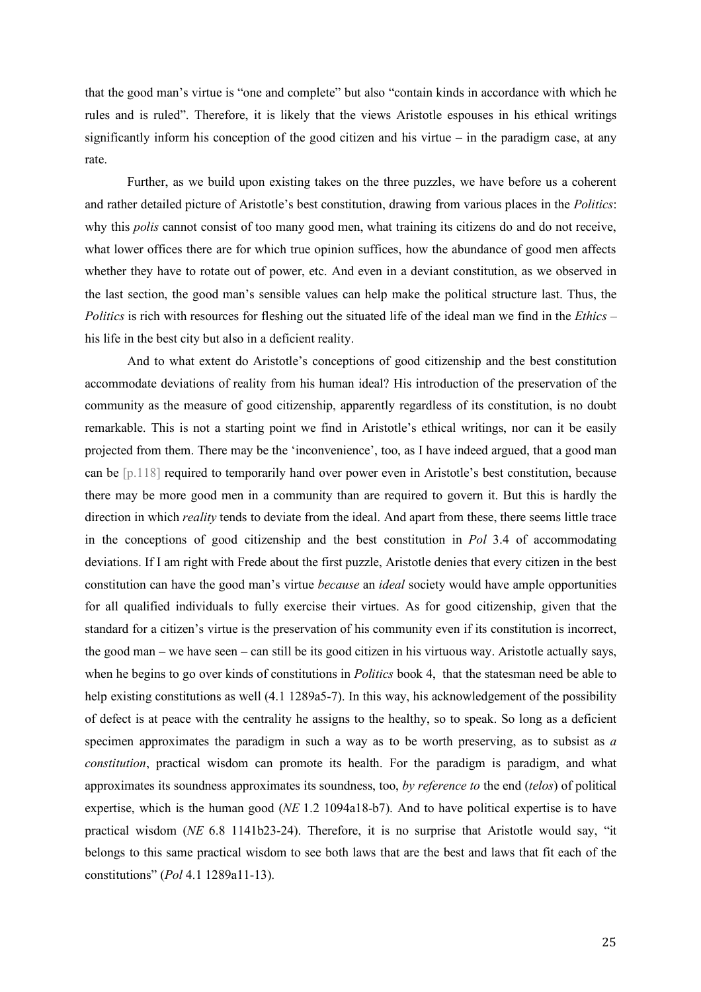that the good man's virtue is "one and complete" but also "contain kinds in accordance with which he rules and is ruled". Therefore, it is likely that the views Aristotle espouses in his ethical writings significantly inform his conception of the good citizen and his virtue – in the paradigm case, at any rate.

Further, as we build upon existing takes on the three puzzles, we have before us a coherent and rather detailed picture of Aristotle's best constitution, drawing from various places in the *Politics*: why this *polis* cannot consist of too many good men, what training its citizens do and do not receive, what lower offices there are for which true opinion suffices, how the abundance of good men affects whether they have to rotate out of power, etc. And even in a deviant constitution, as we observed in the last section, the good man's sensible values can help make the political structure last. Thus, the *Politics* is rich with resources for fleshing out the situated life of the ideal man we find in the *Ethics* – his life in the best city but also in a deficient reality.

And to what extent do Aristotle's conceptions of good citizenship and the best constitution accommodate deviations of reality from his human ideal? His introduction of the preservation of the community as the measure of good citizenship, apparently regardless of its constitution, is no doubt remarkable. This is not a starting point we find in Aristotle's ethical writings, nor can it be easily projected from them. There may be the 'inconvenience', too, as I have indeed argued, that a good man can be [p.118] required to temporarily hand over power even in Aristotle's best constitution, because there may be more good men in a community than are required to govern it. But this is hardly the direction in which *reality* tends to deviate from the ideal. And apart from these, there seems little trace in the conceptions of good citizenship and the best constitution in *Pol* 3.4 of accommodating deviations. If I am right with Frede about the first puzzle, Aristotle denies that every citizen in the best constitution can have the good man's virtue *because* an *ideal* society would have ample opportunities for all qualified individuals to fully exercise their virtues. As for good citizenship, given that the standard for a citizen's virtue is the preservation of his community even if its constitution is incorrect, the good man – we have seen – can still be its good citizen in his virtuous way. Aristotle actually says, when he begins to go over kinds of constitutions in *Politics* book 4, that the statesman need be able to help existing constitutions as well (4.1 1289a5-7). In this way, his acknowledgement of the possibility of defect is at peace with the centrality he assigns to the healthy, so to speak. So long as a deficient specimen approximates the paradigm in such a way as to be worth preserving, as to subsist as *a constitution*, practical wisdom can promote its health. For the paradigm is paradigm, and what approximates its soundness approximates its soundness, too, *by reference to* the end (*telos*) of political expertise, which is the human good (*NE* 1.2 1094a18-b7). And to have political expertise is to have practical wisdom (*NE* 6.8 1141b23-24). Therefore, it is no surprise that Aristotle would say, "it belongs to this same practical wisdom to see both laws that are the best and laws that fit each of the constitutions" (*Pol* 4.1 1289a11-13).